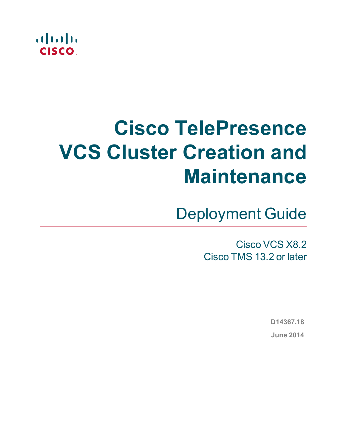

# **Cisco TelePresence VCS Cluster Creation and Maintenance**

Deployment Guide

Cisco VCS X8.2 Cisco TMS 13.2 or later

> **D14367.18 June 2014**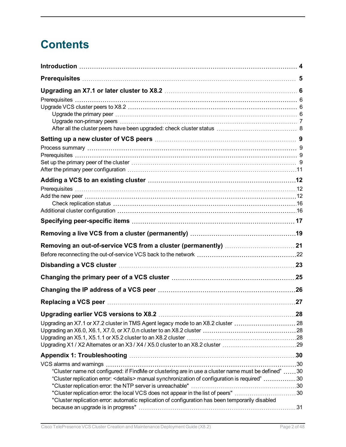## **Contents**

| Adding a VCS to an existing cluster ……………………………………………………………12                                              |     |
|------------------------------------------------------------------------------------------------------------|-----|
|                                                                                                            |     |
|                                                                                                            |     |
|                                                                                                            |     |
|                                                                                                            |     |
|                                                                                                            |     |
|                                                                                                            |     |
|                                                                                                            |     |
|                                                                                                            |     |
|                                                                                                            |     |
|                                                                                                            |     |
|                                                                                                            |     |
|                                                                                                            | .27 |
|                                                                                                            |     |
| Upgrading an X7.1 or X7.2 cluster in TMS Agent legacy mode to an X8.2 cluster 28                           |     |
|                                                                                                            |     |
|                                                                                                            |     |
| Upgrading X1 / X2 Alternates or an X3 / X4 / X5.0 cluster to an X8.2 cluster 29                            |     |
|                                                                                                            |     |
|                                                                                                            |     |
| "Cluster name not configured: if FindMe or clustering are in use a cluster name must be defined" 30        |     |
| 030 "Cluster replication error: <details> manual synchronization of configuration is required"30</details> |     |
| "Cluster replication error: the local VCS does not appear in the list of peers" 30                         |     |
| "Cluster replication error: automatic replication of configuration has been temporarily disabled           |     |
|                                                                                                            |     |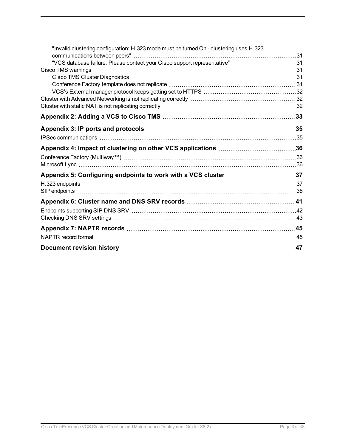| "Invalid clustering configuration: H.323 mode must be turned On - clustering uses H.323 |  |
|-----------------------------------------------------------------------------------------|--|
| "VCS database failure: Please contact your Cisco support representative" 31             |  |
|                                                                                         |  |
|                                                                                         |  |
|                                                                                         |  |
|                                                                                         |  |
|                                                                                         |  |
|                                                                                         |  |
|                                                                                         |  |
|                                                                                         |  |
|                                                                                         |  |
|                                                                                         |  |
|                                                                                         |  |
|                                                                                         |  |
|                                                                                         |  |
|                                                                                         |  |
|                                                                                         |  |
|                                                                                         |  |
|                                                                                         |  |
|                                                                                         |  |
|                                                                                         |  |
|                                                                                         |  |
|                                                                                         |  |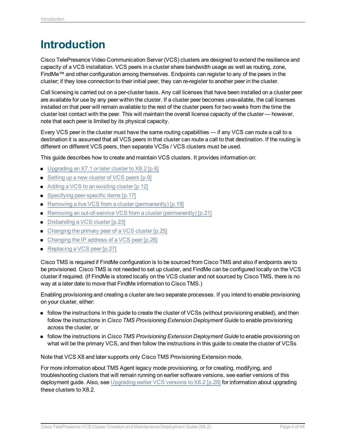## <span id="page-3-0"></span>**Introduction**

Cisco TelePresence Video Communication Server (VCS) clusters are designed to extend the resilience and capacity of a VCS installation. VCS peers in a cluster share bandwidth usage as well as routing, zone, FindMe™ and other configuration among themselves. Endpoints can register to any of the peers in the cluster; if they lose connection to their initial peer, they can re-register to another peer in the cluster.

Call licensing is carried out on a per-cluster basis. Any call licenses that have been installed on a cluster peer are available for use by any peer within the cluster. If a cluster peer becomes unavailable, the call licenses installed on that peer will remain available to the rest of the cluster peers for two weeks from the time the cluster lost contact with the peer. This will maintain the overall license capacity of the cluster — however, note that each peer is limited by its physical capacity.

Every VCS peer in the cluster must have the same routing capabilities — if any VCS can route a call to a destination it is assumed that all VCS peers in that cluster can route a call to that destination. If the routing is different on different VCS peers, then separate VCSs / VCS clusters must be used.

This guide describes how to create and maintain VCS clusters. It provides information on:

- [Upgrading](#page-5-0) an X7.1 or later cluster to X8.2 [p.6]
- Setting up a new cluster of [VCS peers](#page-8-0) [p.9]
- Adding a VCS to an [existing](#page-11-0) cluster [p.12]
- Specifying [peer-specific](#page-16-0) items [p.17]
- Removing a live VCS from a cluster [\(permanently\)](#page-18-0) [p.19]
- Removing an out-of-service VCS from a cluster [\(permanently\)](#page-20-0) [p.21]
- Disbanding a [VCS cluster](#page-22-0) [p.23]
- Changing the primary peer of a [VCS cluster](#page-24-0)  $[p.25]$
- Changing the IP address of a [VCS peer](#page-25-0) [p.26]
- [Replacing](#page-26-0) a VCS peer [p.27]

Cisco TMS is required if FindMe configuration is to be sourced from Cisco TMS and also if endpoints are to be provisioned. Cisco TMS is not needed to set up cluster, and FindMe can be configured locally on the VCS cluster if required. (If FindMe is stored locally on the VCS cluster and not sourced by Cisco TMS, there is no way at a later date to move that FindMe information to Cisco TMS.)

Enabling provisioning and creating a cluster are two separate processes. If you intend to enable provisioning on your cluster, either:

- <sup>n</sup> follow the instructions in this guide to create the cluster of VCSs (without provisioning enabled), and then follow the instructions in *Cisco TMS Provisioning Extension Deployment Guide* to enable provisioning across the cluster, or
- <sup>n</sup> follow the instructions in *Cisco TMS Provisioning Extension Deployment Guide* to enable provisioning on what will be the primary VCS, and then follow the instructions in this guide to create the cluster of VCSs

Note that VCS X8 and later supports only Cisco TMS Provisioning Extension mode.

For more information about TMS Agent legacy mode provisioning, or for creating, modifying, and troubleshooting clusters that will remain running on earlier software versions, see earlier versions of this deployment guide. Also, see [Upgrading](#page-27-0) earlier VCS versions to X8.2 [p.28] for information about upgrading these clusters to X8.2.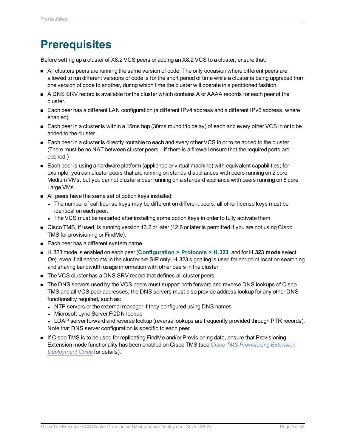## <span id="page-4-0"></span>**Prerequisites**

Before setting up a cluster of X8.2 VCS peers or adding an X8.2 VCS to a cluster, ensure that:

- n All clusters peers are running the same version of code. The only occasion where different peers are allowed to run different versions of code is for the short period of time while a cluster is being upgraded from one version of code to another, during which time the cluster will operate in a partitioned fashion.
- A DNS SRV record is available for the cluster which contains A or AAAA records for each peer of the cluster.
- Each peer has a different LAN configuration (a different IPv4 address and a different IPv6 address, where enabled).
- $\blacksquare$  Each peer in a cluster is within a 15ms hop (30ms round trip delay) of each and every other VCS in or to be added to the cluster.
- Each peer in a cluster is directly routable to each and every other VCS in or to be added to the cluster. (There must be no NAT between cluster peers – if there is a firewall ensure that the required ports are opened.)
- Each peer is using a hardware platform (appliance or virtual machine) with equivalent capabilities; for example, you can cluster peers that are running on standard appliances with peers running on 2 core Medium VMs, but you cannot cluster a peer running on a standard appliance with peers running on 8 core Large VMs.
- All peers have the same set of option keys installed:
	- The number of call license keys may be different on different peers; all other license keys must be identical on each peer.
	- The VCS must be restarted after installing some option keys in order to fully activate them.
- <sup>n</sup> Cisco TMS, if used, is running version 13.2 or later (12.6 or later is permitted if you are not using Cisco TMS for provisioning or FindMe).
- Each peer has a different system name.
- <sup>n</sup> H.323 mode is enabled on each peer (**Configuration > Protocols > H.323**, and for **H.323 mode** select *On*); even if all endpoints in the cluster are SIP only, H.323 signaling is used for endpoint location searching and sharing bandwidth usage information with other peers in the cluster.
- The VCS cluster has a DNS SRV record that defines all cluster peers.
- The DNS servers used by the VCS peers must support both forward and reverse DNS lookups of Cisco TMS and all VCS peer addresses; the DNS servers must also provide address lookup for any other DNS functionality required, such as:
	- NTP servers or the external manager if they configured using DNS names
	- Microsoft Lync Server FQDN lookup
	- LDAP server forward and reverse lookup (reverse lookups are frequently provided through PTR records). Note that DNS server configuration is specific to each peer.
- **n** If Cisco TMS is to be used for replicating FindMe and/or Provisioning data, ensure that Provisioning Extension mode functionality has been enabled on Cisco TMS (see *Cisco TMS [Provisioning](http://www.cisco.com/en/US/products/ps11338/products_installation_and_configuration_guides_list.html) Extension [Deployment](http://www.cisco.com/en/US/products/ps11338/products_installation_and_configuration_guides_list.html) Guide* for details).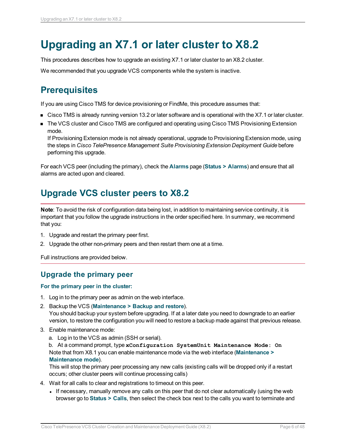## <span id="page-5-0"></span>**Upgrading an X7.1 or later cluster to X8.2**

This procedures describes how to upgrade an existing X7.1 or later cluster to an X8.2 cluster.

<span id="page-5-1"></span>We recommended that you upgrade VCS components while the system is inactive.

## **Prerequisites**

If you are using Cisco TMS for device provisioning or FindMe, this procedure assumes that:

- Cisco TMS is already running version 13.2 or later software and is operational with the X7.1 or later cluster.
- **n** The VCS cluster and Cisco TMS are configured and operating using Cisco TMS Provisioning Extension mode.

If Provisioning Extension mode is not already operational, upgrade to Provisioning Extension mode, using the steps in *Cisco TelePresence Management Suite Provisioning Extension Deployment Guide* before performing this upgrade.

For each VCS peer (including the primary), check the **Alarms** page (**Status > Alarms**) and ensure that all alarms are acted upon and cleared.

## <span id="page-5-2"></span>**Upgrade VCS cluster peers to X8.2**

**Note**: To avoid the risk of configuration data being lost, in addition to maintaining service continuity, it is important that you follow the upgrade instructions in the order specified here. In summary, we recommend that you:

- 1. Upgrade and restart the primary peer first.
- 2. Upgrade the other non-primary peers and then restart them one at a time.

<span id="page-5-3"></span>Full instructions are provided below.

### **Upgrade the primary peer**

#### **For the primary peer in the cluster:**

- 1. Log in to the primary peer as admin on the web interface.
- 2. Backup the VCS (**Maintenance > Backup and restore**).

You should backup your system before upgrading. If at a later date you need to downgrade to an earlier version, to restore the configuration you will need to restore a backup made against that previous release.

- 3. Enable maintenance mode:
	- a. Log in to the VCS as admin (SSH or serial).

b. At a command prompt, type **xConfiguration SystemUnit Maintenance Mode: On** Note that from X8.1 you can enable maintenance mode via the web interface (**Maintenance > Maintenance mode**).

This will stop the primary peer processing any new calls (existing calls will be dropped only if a restart occurs; other cluster peers will continue processing calls)

- 4. Wait for all calls to clear and registrations to timeout on this peer.
	- If necessary, manually remove any calls on this peer that do not clear automatically (using the web browser go to **Status > Calls**, then select the check box next to the calls you want to terminate and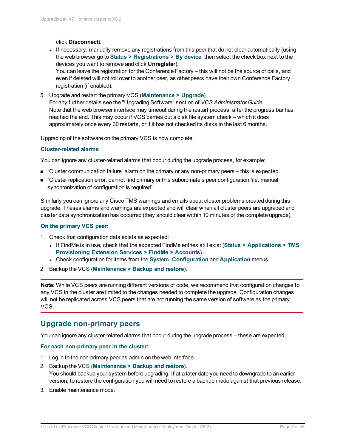click **Disconnect**).

- If necessary, manually remove any registrations from this peer that do not clear automatically (using the web browser go to **Status > Registrations > By device**, then select the check box next to the devices you want to remove and click **Unregister**). You can leave the registration for the Conference Factory – this will not be the source of calls, and even if deleted will not roll over to another peer, as other peers have their own Conference Factory registration (if enabled).
- 5. Upgrade and restart the primary VCS (**Maintenance > Upgrade**). For any further details see the "Upgrading Software" section of *VCS Administrator Guide.* Note that the web browser interface may timeout during the restart process, after the progress bar has reached the end. This may occur if VCS carries out a disk file system check – which it does approximately once every 30 restarts, or if it has not checked its disks in the last 6 months.

Upgrading of the software on the primary VCS is now complete.

#### **Cluster-related alarms**

You can ignore any cluster-related alarms that occur during the upgrade process, for example:

- "Cluster communication failure" alarm on the primary or any non-primary peers this is expected.
- <sup>n</sup> "Cluster replication error: cannot find primary or this subordinate's peer configuration file, manual synchronization of configuration is required"

Similarly you can ignore any Cisco TMS warnings and emails about cluster problems created during this upgrade. Theses alarms and warnings are expected and will clear when all cluster peers are upgraded and cluster data synchronization has occurred (they should clear within 10 minutes of the complete upgrade).

#### **On the primary VCS peer:**

- 1. Check that configuration data exists as expected:
	- <sup>l</sup> If FindMe is in use, check that the expected FindMe entries still exist (**Status > Applications > TMS Provisioning Extension Services > FindMe > Accounts**).
	- <sup>l</sup> Check configuration for items from the **System**, **Configuration** and **Application** menus.
- 2. Backup the VCS (**Maintenance > Backup and restore**).

**Note**: While VCS peers are running different versions of code, we recommend that configuration changes to any VCS in the cluster are limited to the changes needed to complete the upgrade. Configuration changes will not be replicated across VCS peers that are not running the same version of software as the primary VCS.

#### <span id="page-6-0"></span>**Upgrade non-primary peers**

You can ignore any cluster-related alarms that occur during the upgrade process – these are expected.

#### **For each non-primary peer in the cluster:**

- 1. Log in to the non-primary peer as admin on the web interface.
- 2. Backup the VCS (**Maintenance > Backup and restore**). You should backup your system before upgrading. If at a later date you need to downgrade to an earlier version, to restore the configuration you will need to restore a backup made against that previous release.
- 3. Enable maintenance mode: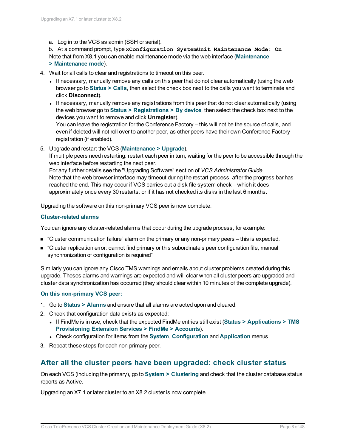a. Log in to the VCS as admin (SSH or serial).

b. At a command prompt, type **xConfiguration SystemUnit Maintenance Mode: On** Note that from X8.1 you can enable maintenance mode via the web interface (**Maintenance > Maintenance mode**).

- 4. Wait for all calls to clear and registrations to timeout on this peer.
	- If necessary, manually remove any calls on this peer that do not clear automatically (using the web browser go to **Status > Calls**, then select the check box next to the calls you want to terminate and click **Disconnect**).
	- If necessary, manually remove any registrations from this peer that do not clear automatically (using the web browser go to **Status > Registrations > By device**, then select the check box next to the devices you want to remove and click **Unregister**).

You can leave the registration for the Conference Factory – this will not be the source of calls, and even if deleted will not roll over to another peer, as other peers have their own Conference Factory registration (if enabled).

5. Upgrade and restart the VCS (**Maintenance > Upgrade**).

If multiple peers need restarting: restart each peer in turn, waiting for the peer to be accessible through the web interface before restarting the next peer.

For any further details see the "Upgrading Software" section of *VCS Administrator Guide.* Note that the web browser interface may timeout during the restart process, after the progress bar has reached the end. This may occur if VCS carries out a disk file system check – which it does approximately once every 30 restarts, or if it has not checked its disks in the last 6 months.

Upgrading the software on this non-primary VCS peer is now complete.

#### **Cluster-related alarms**

You can ignore any cluster-related alarms that occur during the upgrade process, for example:

- "Cluster communication failure" alarm on the primary or any non-primary peers this is expected.
- <sup>n</sup> "Cluster replication error: cannot find primary or this subordinate's peer configuration file, manual synchronization of configuration is required"

Similarly you can ignore any Cisco TMS warnings and emails about cluster problems created during this upgrade. Theses alarms and warnings are expected and will clear when all cluster peers are upgraded and cluster data synchronization has occurred (they should clear within 10 minutes of the complete upgrade).

#### **On this non-primary VCS peer:**

- 1. Go to **Status > Alarms** and ensure that all alarms are acted upon and cleared.
- 2. Check that configuration data exists as expected:
	- <sup>l</sup> If FindMe is in use, check that the expected FindMe entries still exist (**Status > Applications > TMS Provisioning Extension Services > FindMe > Accounts**).
	- <sup>l</sup> Check configuration for items from the **System**, **Configuration** and **Application** menus.
- <span id="page-7-0"></span>3. Repeat these steps for each non-primary peer.

#### **After all the cluster peers have been upgraded: check cluster status**

On each VCS (including the primary), go to **System > Clustering** and check that the cluster database status reports as Active.

Upgrading an X7.1 or later cluster to an X8.2 cluster is now complete.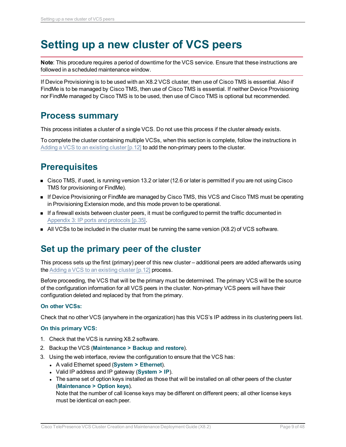## <span id="page-8-0"></span>**Setting up a new cluster of VCS peers**

**Note**: This procedure requires a period of downtime for the VCS service. Ensure that these instructions are followed in a scheduled maintenance window.

If Device Provisioning is to be used with an X8.2 VCS cluster, then use of Cisco TMS is essential. Also if FindMe is to be managed by Cisco TMS, then use of Cisco TMS is essential. If neither Device Provisioning nor FindMe managed by Cisco TMS is to be used, then use of Cisco TMS is optional but recommended.

### <span id="page-8-1"></span>**Process summary**

This process initiates a cluster of a single VCS. Do not use this process if the cluster already exists.

To complete the cluster containing multiple VCSs, when this section is complete, follow the instructions in Adding a VCS to an [existing](#page-11-0) cluster  $[p.12]$  to add the non-primary peers to the cluster.

## <span id="page-8-2"></span>**Prerequisites**

- <sup>n</sup> Cisco TMS, if used, is running version 13.2 or later (12.6 or later is permitted if you are not using Cisco TMS for provisioning or FindMe).
- If Device Provisioning or FindMe are managed by Cisco TMS, this VCS and Cisco TMS must be operating in Provisioning Extension mode, and this mode proven to be operational.
- **n** If a firewall exists between cluster peers, it must be configured to permit the traffic documented in [Appendix](#page-34-0) 3: IP ports and protocols [p.35].
- <span id="page-8-3"></span> $\blacksquare$  All VCSs to be included in the cluster must be running the same version (X8.2) of VCS software.

### **Set up the primary peer of the cluster**

This process sets up the first (primary) peer of this new cluster – additional peers are added afterwards using the Adding a VCS to an [existing](#page-11-0) cluster [p.12] process.

Before proceeding, the VCS that will be the primary must be determined. The primary VCS will be the source of the configuration information for all VCS peers in the cluster. Non-primary VCS peers will have their configuration deleted and replaced by that from the primary.

#### **On other VCSs:**

Check that no other VCS (anywhere in the organization) has this VCS's IP address in its clustering peers list.

#### **On this primary VCS:**

- 1. Check that the VCS is running X8.2 software.
- 2. Backup the VCS (**Maintenance > Backup and restore**).
- 3. Using the web interface, review the configuration to ensure that the VCS has:
	- <sup>l</sup> A valid Ethernet speed (**System > Ethernet**).
	- <sup>l</sup> Valid IP address and IP gateway (**System > IP**).
	- The same set of option keys installed as those that will be installed on all other peers of the cluster (**Maintenance > Option keys**).

Note that the number of call license keys may be different on different peers; all other license keys must be identical on each peer.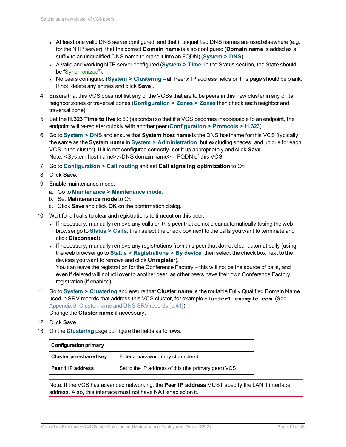- At least one valid DNS server configured, and that if unqualified DNS names are used elsewhere (e.g. for the NTP server), that the correct **Domain name** is also configured (**Domain name** is added as a suffix to an unqualified DNS name to make it into an FQDN) (**System > DNS**).
- A valid and working NTP server configured (System > Time; in the Status section, the State should be "Synchronized").
- <sup>l</sup> No peers configured (**System > Clustering** all Peer x IP address fields on this page should be blank. If not, delete any entries and click **Save**).
- 4. Ensure that this VCS does not list any of the VCSs that are to be peers in this new cluster in any of its neighbor zones or traversal zones (**Configuration > Zones > Zones** then check each neighbor and traversal zone).
- 5. Set the **H.323 Time to live** to 60 (seconds) so that if a VCS becomes inaccessible to an endpoint, the endpoint will re-register quickly with another peer (**Configuration > Protocols > H.323**).
- 6. Go to **System > DNS** and ensure that **System host name** is the DNS hostname for this VCS (typically the same as the **System name** in **System > Administration**, but excluding spaces, and unique for each VCS in the cluster). If it is not configured correctly, set it up appropriately and click **Save**. Note: <System host name>.<DNS domain name> = FQDN of this VCS
- 7. Go to **Configuration > Call routing** and set **Call signaling optimization** to *On*.
- 8. Click **Save**.
- 9. Enable maintenance mode:
	- a. Go to **Maintenance > Maintenance mode**.
	- b. Set **Maintenance mode** to *On*.
	- c. Click **Save** and click **OK** on the confirmation dialog.
- 10. Wait for all calls to clear and registrations to timeout on this peer.
	- If necessary, manually remove any calls on this peer that do not clear automatically (using the web browser go to **Status > Calls**, then select the check box next to the calls you want to terminate and click **Disconnect**).
	- If necessary, manually remove any registrations from this peer that do not clear automatically (using the web browser go to **Status > Registrations > By device**, then select the check box next to the devices you want to remove and click **Unregister**).

You can leave the registration for the Conference Factory – this will not be the source of calls, and even if deleted will not roll over to another peer, as other peers have their own Conference Factory registration (if enabled).

11. Go to **System > Clustering** and ensure that **Cluster name** is the routable Fully Qualified Domain Name used in SRV records that address this VCS cluster, for example **cluster1.example.com**. (See [Appendix](#page-40-0) 6: Cluster name and DNS SRV records [p.41]).

Change the **Cluster name** if necessary.

- 12. Click **Save**.
- 13. On the **Clustering** page configure the fields as follows:

| <b>Configuration primary</b> |                                                      |
|------------------------------|------------------------------------------------------|
| Cluster pre-shared key       | Enter a password (any characters)                    |
| Peer 1 IP address            | Set to the IP address of this (the primary peer) VCS |

Note: If the VCS has advanced networking, the **Peer IP address** MUST specify the LAN 1 interface address. Also, this interface must not have NAT enabled on it.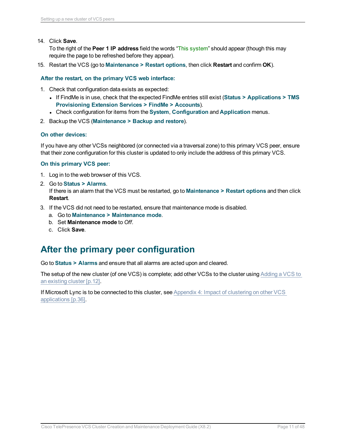14. Click **Save**.

To the right of the **Peer 1 IP address** field the words "This system" should appear (though this may require the page to be refreshed before they appear).

15. Restart the VCS (go to **Maintenance > Restart options**, then click **Restart** and confirm **OK**).

**After the restart, on the primary VCS web interface:**

- 1. Check that configuration data exists as expected:
	- <sup>l</sup> If FindMe is in use, check that the expected FindMe entries still exist (**Status > Applications > TMS Provisioning Extension Services > FindMe > Accounts**).
	- <sup>l</sup> Check configuration for items from the **System**, **Configuration** and **Application** menus.
- 2. Backup the VCS (**Maintenance > Backup and restore**).

#### **On other devices:**

If you have any other VCSs neighbored (or connected via a traversal zone) to this primary VCS peer, ensure that their zone configuration for this cluster is updated to only include the address of this primary VCS.

#### **On this primary VCS peer:**

- 1. Log in to the web browser of this VCS.
- 2. Go to **Status > Alarms**. If there is an alarm that the VCS must be restarted, go to **Maintenance > Restart options** and then click **Restart**.
- 3. If the VCS did not need to be restarted, ensure that maintenance mode is disabled.
	- a. Go to **Maintenance > Maintenance mode**.
	- b. Set **Maintenance mode** to *Off*.
	- c. Click **Save**.

### <span id="page-10-0"></span>**After the primary peer configuration**

Go to **Status > Alarms** and ensure that all alarms are acted upon and cleared.

The setup of the new cluster (of one VCS) is complete; add other VCSs to the cluster using [Adding](#page-11-0) a VCS to an [existing](#page-11-0) cluster [p.12].

If Microsoft Lync is to be connected to this cluster, see Appendix 4: Impact of [clustering](#page-35-0) on other VCS [applications](#page-35-0) [p.36].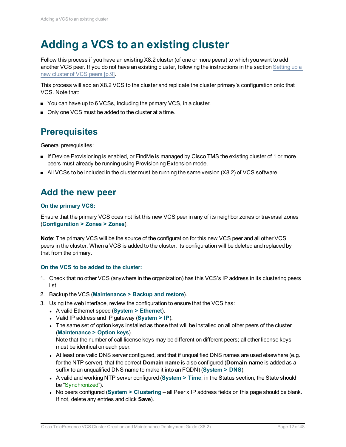## <span id="page-11-0"></span>**Adding a VCS to an existing cluster**

Follow this process if you have an existing X8.2 cluster (of one or more peers) to which you want to add another VCS peer. If you do not have an existing cluster, following the instructions in the section [Setting](#page-8-0) up a new cluster of [VCS peers](#page-8-0) [p.9].

This process will add an X8.2 VCS to the cluster and replicate the cluster primary's configuration onto that VCS. Note that:

- You can have up to 6 VCSs, including the primary VCS, in a cluster.
- <span id="page-11-1"></span>• Only one VCS must be added to the cluster at a time.

### **Prerequisites**

General prerequisites:

- **n** If Device Provisioning is enabled, or FindMe is managed by Cisco TMS the existing cluster of 1 or more peers must already be running using Provisioning Extension mode.
- <span id="page-11-2"></span> $\blacksquare$  All VCSs to be included in the cluster must be running the same version (X8.2) of VCS software.

### **Add the new peer**

#### **On the primary VCS:**

Ensure that the primary VCS does not list this new VCS peer in any of its neighbor zones or traversal zones (**Configuration > Zones > Zones**).

**Note**: The primary VCS will be the source of the configuration for this new VCS peer and all other VCS peers in the cluster. When a VCS is added to the cluster, its configuration will be deleted and replaced by that from the primary.

#### **On the VCS to be added to the cluster:**

- 1. Check that no other VCS (anywhere in the organization) has this VCS's IP address in its clustering peers list.
- 2. Backup the VCS (**Maintenance > Backup and restore**).
- 3. Using the web interface, review the configuration to ensure that the VCS has:
	- <sup>l</sup> A valid Ethernet speed (**System > Ethernet**).
	- <sup>l</sup> Valid IP address and IP gateway (**System > IP**).
	- The same set of option keys installed as those that will be installed on all other peers of the cluster (**Maintenance > Option keys**).

Note that the number of call license keys may be different on different peers; all other license keys must be identical on each peer.

- At least one valid DNS server configured, and that if unqualified DNS names are used elsewhere (e.g. for the NTP server), that the correct **Domain name** is also configured (**Domain name** is added as a suffix to an unqualified DNS name to make it into an FQDN) (**System > DNS**).
- A valid and working NTP server configured (System > Time; in the Status section, the State should be "Synchronized").
- <sup>l</sup> No peers configured (**System > Clustering** all Peer x IP address fields on this page should be blank. If not, delete any entries and click **Save**).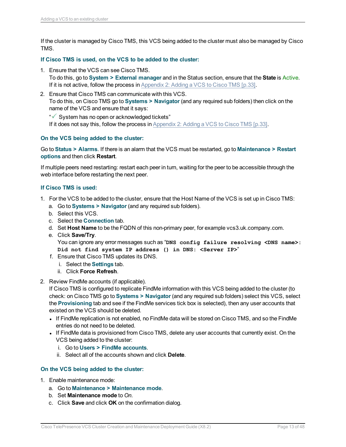If the cluster is managed by Cisco TMS, this VCS being added to the cluster must also be managed by Cisco TMS.

#### **If Cisco TMS is used, on the VCS to be added to the cluster:**

- 1. Ensure that the VCS can see Cisco TMS. To do this, go to **System > External manager** and in the Status section, ensure that the **State** is Active. If it is not active, follow the process in [Appendix](#page-32-0) 2: Adding a VCS to Cisco TMS [p.33].
- 2. Ensure that Cisco TMS can communicate with this VCS. To do this, on Cisco TMS go to **Systems > Navigator** (and any required sub folders) then click on the name of the VCS and ensure that it says:
	- " System has no open or acknowledged tickets"

If it does not say this, follow the process in [Appendix](#page-32-0) 2: Adding a VCS to Cisco TMS [p.33].

#### **On the VCS being added to the cluster:**

Go to **Status > Alarms**. If there is an alarm that the VCS must be restarted, go to **Maintenance > Restart options** and then click **Restart**.

If multiple peers need restarting: restart each peer in turn, waiting for the peer to be accessible through the web interface before restarting the next peer.

#### **If Cisco TMS is used:**

- 1. For the VCS to be added to the cluster, ensure that the Host Name of the VCS is set up in Cisco TMS:
	- a. Go to **Systems > Navigator** (and any required sub folders).
	- b. Select this VCS.
	- c. Select the **Connection** tab.
	- d. Set **Host Name** to be the FQDN of this non-primary peer, for example vcs3.uk.company.com.
	- e. Click **Save/Try**.

You can ignore any error messages such as "**DNS config failure resolving <DNS name>: Did not find system IP address () in DNS: <Server IP>**"

- f. Ensure that Cisco TMS updates its DNS.
	- i. Select the **Settings** tab.
	- ii. Click **Force Refresh**.
- 2. Review FindMe accounts (if applicable).

If Cisco TMS is configured to replicate FindMe information with this VCS being added to the cluster (to check: on Cisco TMS go to **Systems > Navigator** (and any required sub folders) select this VCS, select the **Provisioning** tab and see if the FindMe services tick box is selected), then any user accounts that existed on the VCS should be deleted.

- If FindMe replication is not enabled, no FindMe data will be stored on Cisco TMS, and so the FindMe entries do not need to be deleted.
- If FindMe data is provisioned from Cisco TMS, delete any user accounts that currently exist. On the VCS being added to the cluster:
	- i. Go to **Users > FindMe accounts**.
	- ii. Select all of the accounts shown and click **Delete**.

#### **On the VCS being added to the cluster:**

- 1. Enable maintenance mode:
	- a. Go to **Maintenance > Maintenance mode**.
	- b. Set **Maintenance mode** to *On*.
	- c. Click **Save** and click **OK** on the confirmation dialog.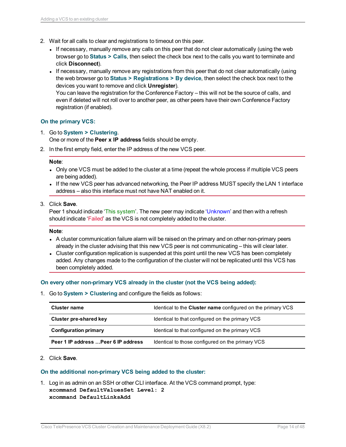- 2. Wait for all calls to clear and registrations to timeout on this peer.
	- If necessary, manually remove any calls on this peer that do not clear automatically (using the web browser go to **Status > Calls**, then select the check box next to the calls you want to terminate and click **Disconnect**).
	- If necessary, manually remove any registrations from this peer that do not clear automatically (using the web browser go to **Status > Registrations > By device**, then select the check box next to the devices you want to remove and click **Unregister**).

You can leave the registration for the Conference Factory – this will not be the source of calls, and even if deleted will not roll over to another peer, as other peers have their own Conference Factory registration (if enabled).

#### **On the primary VCS:**

1. Go to **System > Clustering**.

One or more of the **Peer x IP address** fields should be empty.

2. In the first empty field, enter the IP address of the new VCS peer.

#### **Note**:

- Only one VCS must be added to the cluster at a time (repeat the whole process if multiple VCS peers are being added).
- If the new VCS peer has advanced networking, the Peer IP address MUST specify the LAN 1 interface address – also this interface must not have NAT enabled on it.
- 3. Click **Save**.

Peer 1 should indicate 'This system'. The new peer may indicate 'Unknown' and then with a refresh should indicate 'Failed' as the VCS is not completely added to the cluster.

#### **Note**:

- A cluster communication failure alarm will be raised on the primary and on other non-primary peers already in the cluster advising that this new VCS peer is not communicating – this will clear later.
- Cluster configuration replication is suspended at this point until the new VCS has been completely added. Any changes made to the configuration of the cluster will not be replicated until this VCS has been completely added.

#### **On every other non-primary VCS already in the cluster (not the VCS being added):**

1. Go to **System > Clustering** and configure the fields as follows:

| <b>Cluster name</b>                  | Identical to the <b>Cluster name</b> configured on the primary VCS |
|--------------------------------------|--------------------------------------------------------------------|
| Cluster pre-shared key               | Identical to that configured on the primary VCS                    |
| <b>Configuration primary</b>         | Identical to that configured on the primary VCS                    |
| Peer 1 IP address  Peer 6 IP address | Identical to those configured on the primary VCS                   |

#### 2. Click **Save**.

#### **On the additional non-primary VCS being added to the cluster:**

1. Log in as admin on an SSH or other CLI interface. At the VCS command prompt, type: **xcommand DefaultValuesSet Level: 2 xcommand DefaultLinksAdd**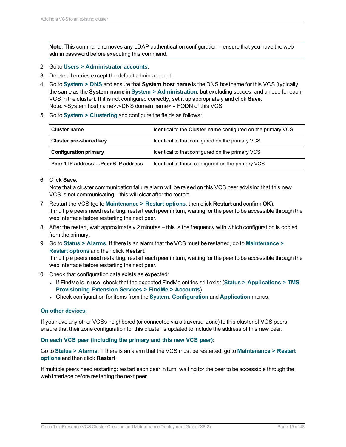**Note**: This command removes any LDAP authentication configuration – ensure that you have the web admin password before executing this command.

- 2. Go to **Users > Administrator accounts**.
- 3. Delete all entries except the default admin account.
- 4. Go to **System > DNS** and ensure that **System host name** is the DNS hostname for this VCS (typically the same as the **System name** in **System > Administration**, but excluding spaces, and unique for each VCS in the cluster). If it is not configured correctly, set it up appropriately and click **Save**. Note: <System host name>.<DNS domain name> = FQDN of this VCS
- 5. Go to **System > Clustering** and configure the fields as follows:

| Cluster name                         | Identical to the <b>Cluster name</b> configured on the primary VCS |
|--------------------------------------|--------------------------------------------------------------------|
| Cluster pre-shared key               | Identical to that configured on the primary VCS                    |
| <b>Configuration primary</b>         | Identical to that configured on the primary VCS                    |
| Peer 1 IP address  Peer 6 IP address | Identical to those configured on the primary VCS                   |

6. Click **Save**.

Note that a cluster communication failure alarm will be raised on this VCS peer advising that this new VCS is not communicating – this will clear after the restart.

- 7. Restart the VCS (go to **Maintenance > Restart options**, then click **Restart** and confirm **OK**). If multiple peers need restarting: restart each peer in turn, waiting for the peer to be accessible through the web interface before restarting the next peer.
- 8. After the restart, wait approximately 2 minutes this is the frequency with which configuration is copied from the primary.
- 9. Go to **Status > Alarms**. If there is an alarm that the VCS must be restarted, go to **Maintenance > Restart options** and then click **Restart**.

If multiple peers need restarting: restart each peer in turn, waiting for the peer to be accessible through the web interface before restarting the next peer.

- 10. Check that configuration data exists as expected:
	- <sup>l</sup> If FindMe is in use, check that the expected FindMe entries still exist (**Status > Applications > TMS Provisioning Extension Services > FindMe > Accounts**).
	- <sup>l</sup> Check configuration for items from the **System**, **Configuration** and **Application** menus.

#### **On other devices:**

If you have any other VCSs neighbored (or connected via a traversal zone) to this cluster of VCS peers, ensure that their zone configuration for this cluster is updated to include the address of this new peer.

#### **On each VCS peer (including the primary and this new VCS peer):**

Go to **Status > Alarms**. If there is an alarm that the VCS must be restarted, go to **Maintenance > Restart options** and then click **Restart**.

If multiple peers need restarting: restart each peer in turn, waiting for the peer to be accessible through the web interface before restarting the next peer.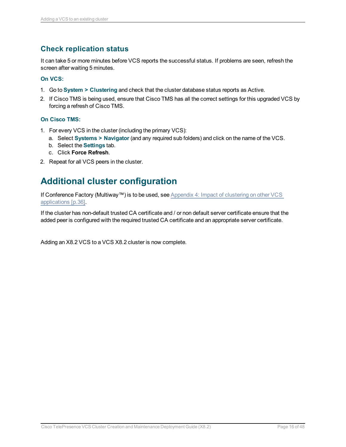### <span id="page-15-0"></span>**Check replication status**

It can take 5 or more minutes before VCS reports the successful status. If problems are seen, refresh the screen after waiting 5 minutes.

#### **On VCS:**

- 1. Go to **System > Clustering** and check that the cluster database status reports as Active.
- 2. If Cisco TMS is being used, ensure that Cisco TMS has all the correct settings for this upgraded VCS by forcing a refresh of Cisco TMS.

#### **On Cisco TMS:**

- 1. For every VCS in the cluster (including the primary VCS):
	- a. Select **Systems > Navigator** (and any required sub folders) and click on the name of the VCS.
	- b. Select the **Settings** tab.
	- c. Click **Force Refresh**.
- <span id="page-15-1"></span>2. Repeat for all VCS peers in the cluster.

## **Additional cluster configuration**

If Conference Factory (Multiway™) is to be used, see Appendix 4: Impact of [clustering](#page-35-0) on other VCS [applications](#page-35-0) [p.36].

If the cluster has non-default trusted CA certificate and / or non default server certificate ensure that the added peer is configured with the required trusted CA certificate and an appropriate server certificate.

Adding an X8.2 VCS to a VCS X8.2 cluster is now complete.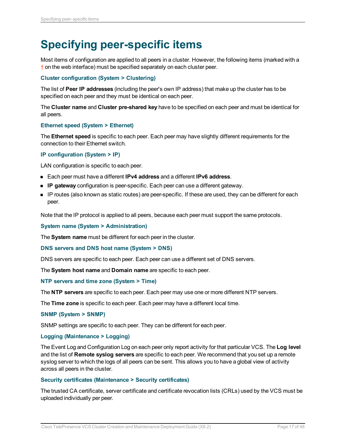## <span id="page-16-0"></span>**Specifying peer-specific items**

Most items of configuration are applied to all peers in a cluster. However, the following items (marked with a † on the web interface) must be specified separately on each cluster peer.

#### **Cluster configuration (System > Clustering)**

The list of **Peer IP addresses** (including the peer's own IP address) that make up the cluster has to be specified on each peer and they must be identical on each peer.

The **Cluster name** and **Cluster pre-shared key** have to be specified on each peer and must be identical for all peers.

#### **Ethernet speed (System > Ethernet)**

The **Ethernet speed** is specific to each peer. Each peer may have slightly different requirements for the connection to their Ethernet switch.

#### **IP configuration (System > IP)**

LAN configuration is specific to each peer.

- <sup>n</sup> Each peer must have a different **IPv4 address** and a different **IPv6 address**.
- **P gateway** configuration is peer-specific. Each peer can use a different gateway.
- <sup>n</sup> IP routes (also known as static routes) are peer-specific. If these are used, they can be different for each peer.

Note that the IP protocol is applied to all peers, because each peer must support the same protocols.

#### **System name (System > Administration)**

The **System name** must be different for each peer in the cluster.

#### **DNS servers and DNS host name (System > DNS)**

DNS servers are specific to each peer. Each peer can use a different set of DNS servers.

The **System host name** and **Domain name** are specific to each peer.

#### **NTP servers and time zone (System > Time)**

The **NTP servers** are specific to each peer. Each peer may use one or more different NTP servers.

The **Time zone** is specific to each peer. Each peer may have a different local time.

#### **SNMP (System > SNMP)**

SNMP settings are specific to each peer. They can be different for each peer.

#### **Logging (Maintenance > Logging)**

The Event Log and Configuration Log on each peer only report activity for that particular VCS. The **Log level** and the list of **Remote syslog servers** are specific to each peer. We recommend that you set up a remote syslog server to which the logs of all peers can be sent. This allows you to have a global view of activity across all peers in the cluster.

#### **Security certificates (Maintenance > Security certificates)**

The trusted CA certificate, server certificate and certificate revocation lists (CRLs) used by the VCS must be uploaded individually per peer.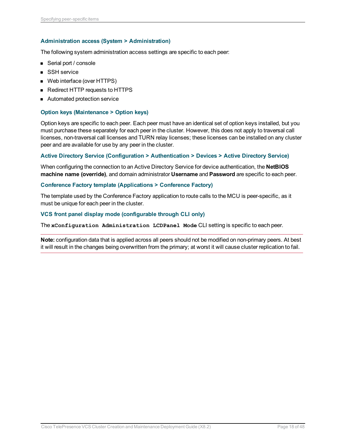#### **Administration access (System > Administration)**

The following system administration access settings are specific to each peer:

- Serial port / console
- SSH service
- Web interface (over HTTPS)
- **Redirect HTTP requests to HTTPS**
- Automated protection service

#### **Option keys (Maintenance > Option keys)**

Option keys are specific to each peer. Each peer must have an identical set of option keys installed, but you must purchase these separately for each peer in the cluster. However, this does not apply to traversal call licenses, non-traversal call licenses and TURN relay licenses; these licenses can be installed on any cluster peer and are available for use by any peer in the cluster.

#### **Active Directory Service (Configuration > Authentication > Devices > Active Directory Service)**

When configuring the connection to an Active Directory Service for device authentication, the **NetBIOS machine name (override)**, and domain administrator **Username** and **Password** are specific to each peer.

#### **Conference Factory template (Applications > Conference Factory)**

The template used by the Conference Factory application to route calls to the MCU is peer-specific, as it must be unique for each peer in the cluster.

#### **VCS front panel display mode (configurable through CLI only)**

The **xConfiguration Administration LCDPanel Mode** CLI setting is specific to each peer.

**Note:** configuration data that is applied across all peers should not be modified on non-primary peers. At best it will result in the changes being overwritten from the primary; at worst it will cause cluster replication to fail.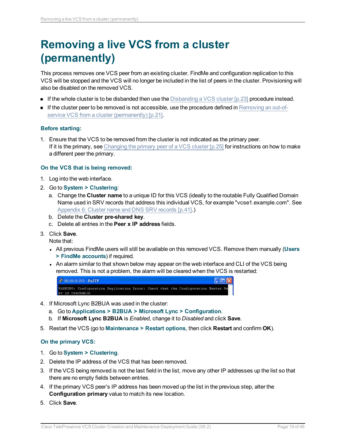## <span id="page-18-0"></span>**Removing a live VCS from a cluster (permanently)**

This process removes one VCS peer from an existing cluster. FindMe and configuration replication to this VCS will be stopped and the VCS will no longer be included in the list of peers in the cluster. Provisioning will also be disabled on the removed VCS.

- **n** If the whole cluster is to be disbanded then use the Disbanding a [VCS cluster](#page-22-0)  $[p.23]$  procedure instead.
- $\blacksquare$  If the cluster peer to be removed is not accessible, use the procedure defined in [Removing](#page-20-0) an out-ofservice VCS from a cluster [\(permanently\)](#page-20-0) [p.21].

#### **Before starting:**

1. Ensure that the VCS to be removed from the cluster is not indicated as the primary peer. If it is the primary, see Changing the primary peer of a [VCS cluster](#page-24-0)  $[p.25]$  for instructions on how to make a different peer the primary.

#### **On the VCS that is being removed:**

- 1. Log into the web interface.
- 2. Go to **System > Clustering**:
	- a. Change the **Cluster name** to a unique ID for this VCS (ideally to the routable Fully Qualified Domain Name used in SRV records that address this individual VCS, for example "vcse1.example.com". See [Appendix](#page-40-0) 6: Cluster name and DNS SRV records [p.41].)
	- b. Delete the **Cluster pre-shared key**.
	- c. Delete all entries in the **Peer x IP address** fields.
- 3. Click **Save**.

Note that:

- <sup>l</sup> All previous FindMe users will still be available on this removed VCS. Remove them manually (**Users > FindMe accounts**) if required.
- An alarm similar to that shown below may appear on the web interface and CLI of the VCS being removed. This is not a problem, the alarm will be cleared when the VCS is restarted:



- 4. If Microsoft Lync B2BUA was used in the cluster:
	- a. Go to **Applications > B2BUA > Microsoft Lync > Configuration**.
	- b. If **Microsoft Lync B2BUA** is *Enabled*, change it to *Disabled* and click **Save**.
- 5. Restart the VCS (go to **Maintenance > Restart options**, then click **Restart** and confirm **OK**).

#### **On the primary VCS:**

- 1. Go to **System > Clustering**.
- 2. Delete the IP address of the VCS that has been removed.
- 3. If the VCS being removed is not the last field in the list, move any other IP addresses up the list so that there are no empty fields between entries.
- 4. If the primary VCS peer's IP address has been moved up the list in the previous step, alter the **Configuration primary** value to match its new location.
- 5. Click **Save**.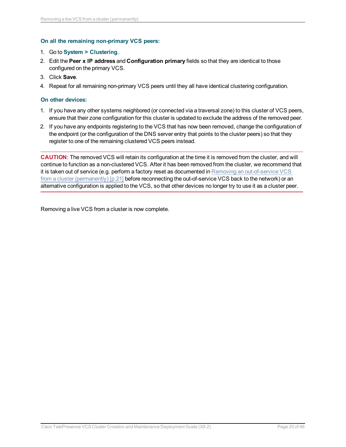#### **On all the remaining non-primary VCS peers:**

#### 1. Go to **System > Clustering**.

- 2. Edit the **Peer x IP address** and **Configuration primary** fields so that they are identical to those configured on the primary VCS.
- 3. Click **Save**.
- 4. Repeat for all remaining non-primary VCS peers until they all have identical clustering configuration.

#### **On other devices:**

- 1. If you have any other systems neighbored (or connected via a traversal zone) to this cluster of VCS peers, ensure that their zone configuration for this cluster is updated to exclude the address of the removed peer.
- 2. If you have any endpoints registering to the VCS that has now been removed, change the configuration of the endpoint (or the configuration of the DNS server entry that points to the cluster peers) so that they register to one of the remaining clustered VCS peers instead.

**CAUTION**: The removed VCS will retain its configuration at the time it is removed from the cluster, and will continue to function as a non-clustered VCS. After it has been removed from the cluster, we recommend that it is taken out of service (e.g. perform a factory reset as documented in Removing an [out-of-service](#page-20-0) VCS from a cluster [\(permanently\)](#page-20-0) [p.21] before reconnecting the out-of-service VCS back to the network) or an alternative configuration is applied to the VCS, so that other devices no longer try to use it as a cluster peer.

Removing a live VCS from a cluster is now complete.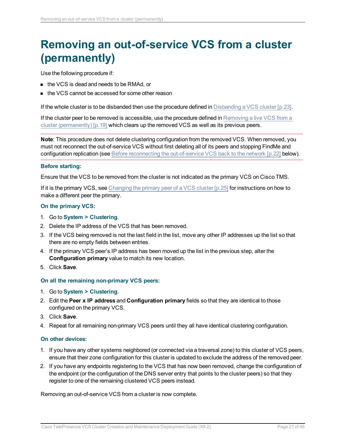## <span id="page-20-0"></span>**Removing an out-of-service VCS from a cluster (permanently)**

Use the following procedure if:

- the VCS is dead and needs to be RMAd, or
- the VCS cannot be accessed for some other reason

If the whole cluster is to be disbanded then use the procedure defined in Disbanding a [VCS cluster](#page-22-0) [p.23].

If the cluster peer to be removed is accessible, use the procedure defined in [Removing](#page-18-0) a live VCS from a cluster [\(permanently\)](#page-18-0) [p.19] which clears up the removed VCS as well as its previous peers.

**Note**: This procedure does not delete clustering configuration from the removed VCS. When removed, you must not reconnect the out-of-service VCS without first deleting all of its peers and stopping FindMe and configuration replication (see Before reconnecting the [out-of-service](#page-21-0) VCS back to the network [p.22] below).

#### **Before starting:**

Ensure that the VCS to be removed from the cluster is not indicated as the primary VCS on Cisco TMS.

If it is the primary VCS, see Changing the primary peer of a [VCS cluster](#page-24-0) [p.25] for instructions on how to make a different peer the primary.

#### **On the primary VCS:**

- 1. Go to **System > Clustering**.
- 2. Delete the IP address of the VCS that has been removed.
- 3. If the VCS being removed is not the last field in the list, move any other IP addresses up the list so that there are no empty fields between entries.
- 4. If the primary VCS peer's IP address has been moved up the list in the previous step, alter the **Configuration primary** value to match its new location.
- 5. Click **Save**.

#### **On all the remaining non-primary VCS peers:**

- 1. Go to **System > Clustering**.
- 2. Edit the **Peer x IP address** and **Configuration primary** fields so that they are identical to those configured on the primary VCS.
- 3. Click **Save**.
- 4. Repeat for all remaining non-primary VCS peers until they all have identical clustering configuration.

#### **On other devices:**

- 1. If you have any other systems neighbored (or connected via a traversal zone) to this cluster of VCS peers, ensure that their zone configuration for this cluster is updated to exclude the address of the removed peer.
- 2. If you have any endpoints registering to the VCS that has now been removed, change the configuration of the endpoint (or the configuration of the DNS server entry that points to the cluster peers) so that they register to one of the remaining clustered VCS peers instead.

Removing an out-of-service VCS from a cluster is now complete.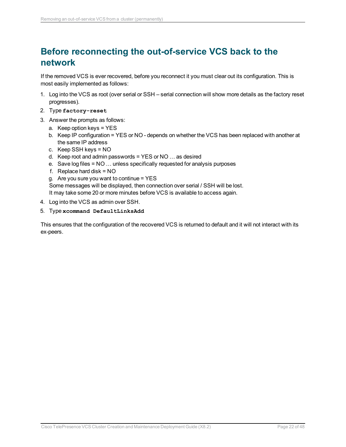## <span id="page-21-0"></span>**Before reconnecting the out-of-service VCS back to the network**

If the removed VCS is ever recovered, before you reconnect it you must clear out its configuration. This is most easily implemented as follows:

- 1. Log into the VCS as root (over serial or SSH serial connection will show more details as the factory reset progresses).
- 2. Type **factory-reset**
- 3. Answer the prompts as follows:
	- a. Keep option keys = YES
	- b. Keep IP configuration = YES or NO depends on whether the VCS has been replaced with another at the same IP address
	- c. Keep SSH keys = NO
	- d. Keep root and admin passwords = YES or NO … as desired
	- e. Save log files = NO … unless specifically requested for analysis purposes
	- f. Replace hard disk = NO
	- g. Are you sure you want to continue  $=$  YES

Some messages will be displayed, then connection over serial / SSH will be lost. It may take some 20 or more minutes before VCS is available to access again.

- 4. Log into the VCS as admin over SSH.
- 5. Type **xcommand DefaultLinksAdd**

This ensures that the configuration of the recovered VCS is returned to default and it will not interact with its ex-peers.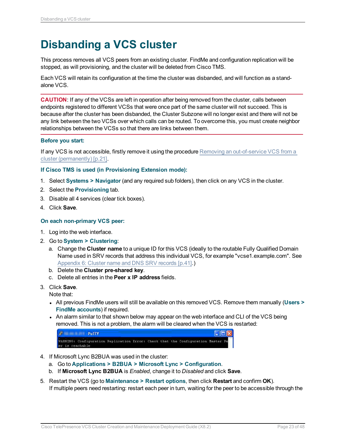## <span id="page-22-0"></span>**Disbanding a VCS cluster**

This process removes all VCS peers from an existing cluster. FindMe and configuration replication will be stopped, as will provisioning, and the cluster will be deleted from Cisco TMS.

Each VCS will retain its configuration at the time the cluster was disbanded, and will function as a standalone VCS.

**CAUTION**: If any of the VCSs are left in operation after being removed from the cluster, calls between endpoints registered to different VCSs that were once part of the same cluster will not succeed. This is because after the cluster has been disbanded, the Cluster Subzone will no longer exist and there will not be any link between the two VCSs over which calls can be routed. To overcome this, you must create neighbor relationships between the VCSs so that there are links between them.

#### **Before you start:**

If any VCS is not accessible, firstly remove it using the procedure Removing an [out-of-service](#page-20-0) VCS from a cluster [\(permanently\)](#page-20-0) [p.21].

#### **If Cisco TMS is used (in Provisioning Extension mode):**

- 1. Select **Systems > Navigator** (and any required sub folders), then click on any VCS in the cluster.
- 2. Select the **Provisioning** tab.
- 3. Disable all 4 services (clear tick boxes).
- 4. Click **Save**.

#### **On each non-primary VCS peer:**

- 1. Log into the web interface.
- 2. Go to **System > Clustering**:
	- a. Change the **Cluster name** to a unique ID for this VCS (ideally to the routable Fully Qualified Domain Name used in SRV records that address this individual VCS, for example "vcse1.example.com". See [Appendix](#page-40-0) 6: Cluster name and DNS SRV records [p.41].)
	- b. Delete the **Cluster pre-shared key**.
	- c. Delete all entries in the **Peer x IP address** fields.
- 3. Click **Save**.

Note that:

- <sup>l</sup> All previous FindMe users will still be available on this removed VCS. Remove them manually (**Users > FindMe accounts**) if required.
- An alarm similar to that shown below may appear on the web interface and CLI of the VCS being removed. This is not a problem, the alarm will be cleared when the VCS is restarted:

| $\mathbf{r}$    | <b>PuTTY</b>                                                                     |  |  |  | $\Box$ D $\times$ |
|-----------------|----------------------------------------------------------------------------------|--|--|--|-------------------|
|                 | WARNING: Configuration Replication Error: Check that the Configuration Master Pe |  |  |  |                   |
| er is reachable |                                                                                  |  |  |  |                   |

- 4. If Microsoft Lync B2BUA was used in the cluster:
	- a. Go to **Applications > B2BUA > Microsoft Lync > Configuration**.
	- b. If **Microsoft Lync B2BUA** is *Enabled*, change it to *Disabled* and click **Save**.
- 5. Restart the VCS (go to **Maintenance > Restart options**, then click **Restart** and confirm **OK**). If multiple peers need restarting: restart each peer in turn, waiting for the peer to be accessible through the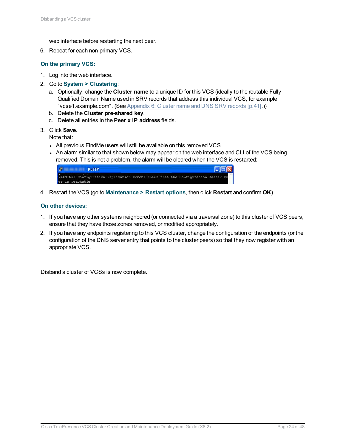web interface before restarting the next peer.

6. Repeat for each non-primary VCS.

#### **On the primary VCS:**

- 1. Log into the web interface.
- 2. Go to **System > Clustering**:
	- a. Optionally, change the **Cluster name** to a unique ID for this VCS (ideally to the routable Fully Qualified Domain Name used in SRV records that address this individual VCS, for example "vcse1.example.com". (See [Appendix](#page-40-0) 6: Cluster name and DNS SRV records [p.41].))
	- b. Delete the **Cluster pre-shared key**.
	- c. Delete all entries in the **Peer x IP address** fields.
- 3. Click **Save**.

Note that:

- All previous FindMe users will still be available on this removed VCS
- An alarm similar to that shown below may appear on the web interface and CLI of the VCS being removed. This is not a problem, the alarm will be cleared when the VCS is restarted:

| $\mathbf{E}$<br><b>PuTTY</b>                                                                        |  |  |  | $\Box$ D $\times$ |  |
|-----------------------------------------------------------------------------------------------------|--|--|--|-------------------|--|
| WARNING: Configuration Replication Error: Check that the Configuration Master Pe<br>er is reachable |  |  |  |                   |  |

4. Restart the VCS (go to **Maintenance > Restart options**, then click **Restart** and confirm **OK**).

#### **On other devices:**

- 1. If you have any other systems neighbored (or connected via a traversal zone) to this cluster of VCS peers, ensure that they have those zones removed, or modified appropriately.
- 2. If you have any endpoints registering to this VCS cluster, change the configuration of the endpoints (or the configuration of the DNS server entry that points to the cluster peers) so that they now register with an appropriate VCS.

Disband a cluster of VCSs is now complete.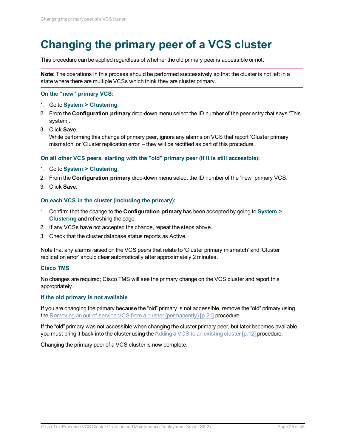## <span id="page-24-0"></span>**Changing the primary peer of a VCS cluster**

This procedure can be applied regardless of whether the old primary peer is accessible or not.

**Note**: The operations in this process should be performed successively so that the cluster is not left in a state where there are multiple VCSs which think they are cluster primary.

#### **On the "new" primary VCS:**

- 1. Go to **System > Clustering**.
- 2. From the **Configuration primary** drop-down menu select the ID number of the peer entry that says 'This system'.
- 3. Click **Save**.

While performing this change of primary peer, ignore any alarms on VCS that report 'Cluster primary mismatch' or 'Cluster replication error' – they will be rectified as part of this procedure.

#### **On all other VCS peers, starting with the "old" primary peer (if it is still accessible):**

- 1. Go to **System > Clustering**.
- 2. From the **Configuration primary** drop-down menu select the ID number of the "new" primary VCS.
- 3. Click **Save**.

#### **On each VCS in the cluster (including the primary):**

- 1. Confirm that the change to the **Configuration primary** has been accepted by going to **System > Clustering** and refreshing the page.
- 2. If any VCSs have not accepted the change, repeat the steps above.
- 3. Check that the cluster database status reports as Active.

Note that any alarms raised on the VCS peers that relate to 'Cluster primary mismatch' and 'Cluster replication error' should clear automatically after approximately 2 minutes.

#### **Cisco TMS**

No changes are required; Cisco TMS will see the primary change on the VCS cluster and report this appropriately.

#### **If the old primary is not available**

If you are changing the primary because the "old" primary is not accessible, remove the "old" primary using the Removing an out-of-service VCS from a cluster [\(permanently\)](#page-20-0) [p.21] procedure.

If the "old" primary was not accessible when changing the cluster primary peer, but later becomes available, you must bring it back into the cluster using the Adding a VCS to an [existing](#page-11-0) cluster [p.12] procedure.

Changing the primary peer of a VCS cluster is now complete.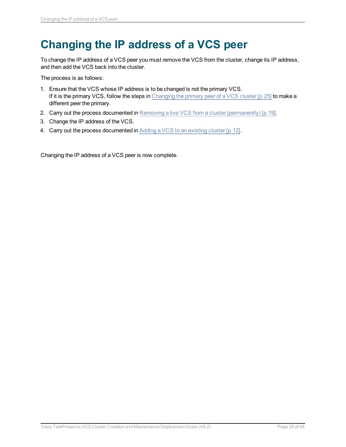## <span id="page-25-0"></span>**Changing the IP address of a VCS peer**

To change the IP address of a VCS peer you must remove the VCS from the cluster, change its IP address, and then add the VCS back into the cluster.

The process is as follows:

- 1. Ensure that the VCS whose IP address is to be changed is not the primary VCS. If it is the primary VCS, follow the steps in Changing the primary peer of a [VCS cluster](#page-24-0) [p.25] to make a different peer the primary.
- 2. Carry out the process documented in Removing a live VCS from a cluster [\(permanently\)](#page-18-0) [p.19].
- 3. Change the IP address of the VCS.
- 4. Carry out the process documented in Adding a VCS to an [existing](#page-11-0) cluster [p.12].

Changing the IP address of a VCS peer is now complete.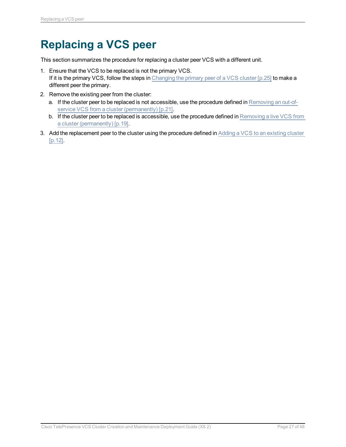## <span id="page-26-0"></span>**Replacing a VCS peer**

This section summarizes the procedure for replacing a cluster peer VCS with a different unit.

- 1. Ensure that the VCS to be replaced is not the primary VCS. If it is the primary VCS, follow the steps in Changing the primary peer of a [VCS cluster](#page-24-0) [p.25] to make a different peer the primary.
- 2. Remove the existing peer from the cluster:
	- a. If the cluster peer to be replaced is not accessible, use the procedure defined in [Removing](#page-20-0) an out-ofservice VCS from a cluster [\(permanently\)](#page-20-0) [p.21].
	- b. If the cluster peer to be replaced is accessible, use the procedure defined in [Removing](#page-18-0) a live VCS from a cluster [\(permanently\)](#page-18-0) [p.19].
- 3. Add the replacement peer to the cluster using the procedure defined in Adding a VCS to an [existing](#page-11-0) cluster [\[p.12\].](#page-11-0)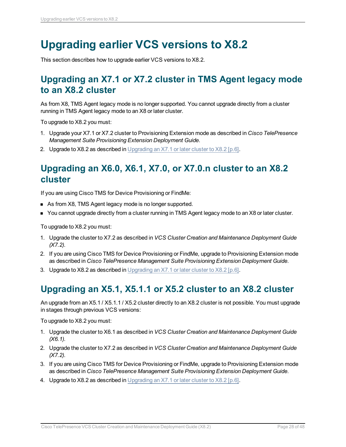## <span id="page-27-0"></span>**Upgrading earlier VCS versions to X8.2**

<span id="page-27-1"></span>This section describes how to upgrade earlier VCS versions to X8.2.

## **Upgrading an X7.1 or X7.2 cluster in TMS Agent legacy mode to an X8.2 cluster**

As from X8, TMS Agent legacy mode is no longer supported. You cannot upgrade directly from a cluster running in TMS Agent legacy mode to an X8 or later cluster.

To upgrade to X8.2 you must:

- 1. Upgrade your X7.1 or X7.2 cluster to Provisioning Extension mode as described in *Cisco TelePresence Management Suite Provisioning Extension Deployment Guide*.
- <span id="page-27-2"></span>2. Upgrade to X8.2 as described in [Upgrading](#page-5-0) an  $X7.1$  or later cluster to  $X8.2$  [p.6].

## **Upgrading an X6.0, X6.1, X7.0, or X7.0.n cluster to an X8.2 cluster**

If you are using Cisco TMS for Device Provisioning or FindMe:

- **n** As from X8, TMS Agent legacy mode is no longer supported.
- You cannot upgrade directly from a cluster running in TMS Agent legacy mode to an X8 or later cluster.

To upgrade to X8.2 you must:

- 1. Upgrade the cluster to X7.2 as described in *VCS Cluster Creation and Maintenance Deployment Guide (X7.2)*.
- 2. If you are using Cisco TMS for Device Provisioning or FindMe, upgrade to Provisioning Extension mode as described in *Cisco TelePresence Management Suite Provisioning Extension Deployment Guide*.
- <span id="page-27-3"></span>3. Upgrade to X8.2 as described in [Upgrading](#page-5-0) an  $X7.1$  or later cluster to  $X8.2$  [p.6].

## **Upgrading an X5.1, X5.1.1 or X5.2 cluster to an X8.2 cluster**

An upgrade from an X5.1 / X5.1.1 / X5.2 cluster directly to an X8.2 cluster is not possible. You must upgrade in stages through previous VCS versions:

To upgrade to X8.2 you must:

- 1. Upgrade the cluster to X6.1 as described in *VCS Cluster Creation and Maintenance Deployment Guide (X6.1)*.
- 2. Upgrade the cluster to X7.2 as described in *VCS Cluster Creation and Maintenance Deployment Guide (X7.2)*.
- 3. If you are using Cisco TMS for Device Provisioning or FindMe, upgrade to Provisioning Extension mode as described in *Cisco TelePresence Management Suite Provisioning Extension Deployment Guide*.
- 4. Upgrade to X8.2 as described in [Upgrading](#page-5-0) an X7.1 or later cluster to X8.2 [p.6].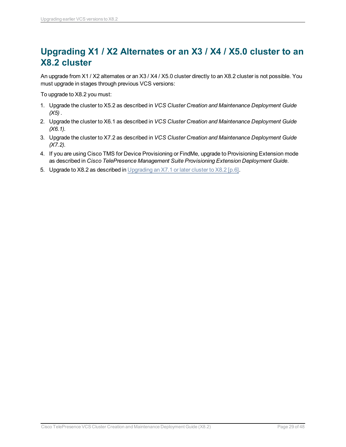## <span id="page-28-0"></span>**Upgrading X1 / X2 Alternates or an X3 / X4 / X5.0 cluster to an X8.2 cluster**

An upgrade from X1 / X2 alternates or an X3 / X4 / X5.0 cluster directly to an X8.2 cluster is not possible. You must upgrade in stages through previous VCS versions:

To upgrade to X8.2 you must:

- 1. Upgrade the cluster to X5.2 as described in *VCS Cluster Creation and Maintenance Deployment Guide (X5)* .
- 2. Upgrade the cluster to X6.1 as described in *VCS Cluster Creation and Maintenance Deployment Guide (X6.1)*.
- 3. Upgrade the cluster to X7.2 as described in *VCS Cluster Creation and Maintenance Deployment Guide (X7.2)*.
- 4. If you are using Cisco TMS for Device Provisioning or FindMe, upgrade to Provisioning Extension mode as described in *Cisco TelePresence Management Suite Provisioning Extension Deployment Guide*.
- 5. Upgrade to X8.2 as described in [Upgrading](#page-5-0) an X7.1 or later cluster to X8.2 [p.6].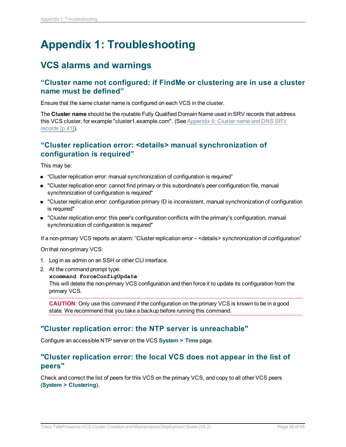## <span id="page-29-0"></span>**Appendix 1: Troubleshooting**

### <span id="page-29-1"></span>**VCS alarms and warnings**

#### <span id="page-29-2"></span>**"Cluster name not configured: if FindMe or clustering are in use a cluster name must be defined"**

Ensure that the same cluster name is configured on each VCS in the cluster.

The **Cluster name** should be the routable Fully Qualified Domain Name used in SRV records that address this VCS cluster, for example "cluster1.example.com". (See [Appendix](#page-40-0) 6: Cluster name and DNS SRV [records](#page-40-0) [p.41]).

#### <span id="page-29-3"></span>**"Cluster replication error: <details> manual synchronization of configuration is required"**

This may be:

- "Cluster replication error: manual synchronization of configuration is required"
- **n** "Cluster replication error: cannot find primary or this subordinate's peer configuration file, manual synchronization of configuration is required"
- <sup>n</sup> "Cluster replication error: configuration primary ID is inconsistent, manual synchronization of configuration is required"
- <sup>n</sup> "Cluster replication error: this peer's configuration conflicts with the primary's configuration, manual synchronization of configuration is required"

If a non-primary VCS reports an alarm: "Cluster replication error – <details> synchronization of configuration"

On that non-primary VCS:

- 1. Log in as admin on an SSH or other CLI interface.
- 2. At the command prompt type:

#### **xcommand ForceConfigUpdate**

This will delete the non-primary VCS configuration and then force it to update its configuration from the primary VCS.

**CAUTION**: Only use this command if the configuration on the primary VCS is known to be in a good state. We recommend that you take a backup before running this command.

#### <span id="page-29-4"></span>**"Cluster replication error: the NTP server is unreachable"**

<span id="page-29-5"></span>Configure an accessible NTP server on the VCS **System > Time** page.

#### **"Cluster replication error: the local VCS does not appear in the list of peers"**

Check and correct the list of peers for this VCS on the primary VCS, and copy to all other VCS peers (**System > Clustering**).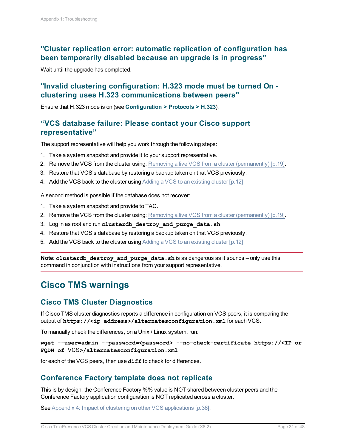### <span id="page-30-0"></span>**"Cluster replication error: automatic replication of configuration has been temporarily disabled because an upgrade is in progress"**

<span id="page-30-1"></span>Wait until the upgrade has completed.

### **"Invalid clustering configuration: H.323 mode must be turned On clustering uses H.323 communications between peers"**

<span id="page-30-2"></span>Ensure that H.323 mode is on (see **Configuration > Protocols > H.323**).

#### **"VCS database failure: Please contact your Cisco support representative"**

The support representative will help you work through the following steps:

- 1. Take a system snapshot and provide it to your support representative.
- 2. Remove the VCS from the cluster using: Removing a live VCS from a cluster [\(permanently\)](#page-18-0) [p.19].
- 3. Restore that VCS's database by restoring a backup taken on that VCS previously.
- 4. Add the VCS back to the cluster using Adding a VCS to an [existing](#page-11-0) cluster [p.12].

A second method is possible if the database does not recover:

- 1. Take a system snapshot and provide to TAC.
- 2. Remove the VCS from the cluster using: Removing a live VCS from a cluster [\(permanently\)](#page-18-0) [p.19].
- 3. Log in as root and run **clusterdb\_destroy\_and\_purge\_data.sh**
- 4. Restore that VCS's database by restoring a backup taken on that VCS previously.
- 5. Add the VCS back to the cluster using Adding a VCS to an [existing](#page-11-0) cluster [p.12].

**Note**: **clusterdb\_destroy\_and\_purge\_data.sh** is as dangerous as it sounds – only use this command in conjunction with instructions from your support representative.

### <span id="page-30-3"></span>**Cisco TMS warnings**

### <span id="page-30-4"></span>**Cisco TMS Cluster Diagnostics**

If Cisco TMS cluster diagnostics reports a difference in configuration on VCS peers, it is comparing the output of **https://<ip address>/alternatesconfiguration.xml** for each VCS.

To manually check the differences, on a Unix / Linux system, run:

**wget --user=admin --password=<password> --no-check-certificate https://<IP or FQDN of** VCS**>/alternatesconfiguration.xml**

<span id="page-30-5"></span>for each of the VCS peers, then use  $diff$  to check for differences.

#### **Conference Factory template does not replicate**

This is by design; the Conference Factory %% value is NOT shared between cluster peers and the Conference Factory application configuration is NOT replicated across a cluster.

See Appendix 4: Impact of clustering on other VCS [applications](#page-35-0) [p.36].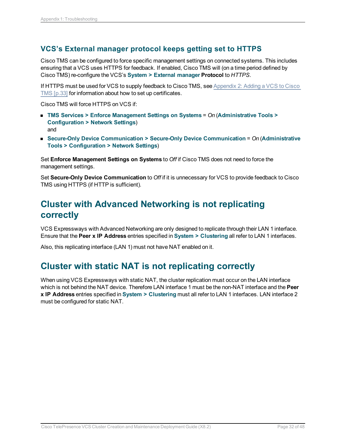### <span id="page-31-0"></span>**VCS's External manager protocol keeps getting set to HTTPS**

Cisco TMS can be configured to force specific management settings on connected systems. This includes ensuring that a VCS uses HTTPS for feedback. If enabled, Cisco TMS will (on a time period defined by Cisco TMS) re-configure the VCS's **System > External manager Protocol** to *HTTPS*.

If HTTPS must be used for VCS to supply feedback to Cisco TMS, see [Appendix](#page-32-0) 2: Adding a VCS to Cisco TMS [\[p.33\]](#page-32-0) for information about how to set up certificates.

Cisco TMS will force HTTPS on VCS if:

- <sup>n</sup> **TMS Services > Enforce Management Settings on Systems** = *On* (**Administrative Tools > Configuration > Network Settings**) and
- <sup>n</sup> **Secure-Only Device Communication > Secure-Only Device Communication** = *On* (**Administrative Tools > Configuration > Network Settings**)

Set **Enforce Management Settings on Systems** to *Off* if Cisco TMS does not need to force the management settings.

Set **Secure-Only Device Communication** to *Off* if it is unnecessary for VCS to provide feedback to Cisco TMS using HTTPS (if HTTP is sufficient).

## <span id="page-31-1"></span>**Cluster with Advanced Networking is not replicating correctly**

VCS Expressways with Advanced Networking are only designed to replicate through their LAN 1 interface. Ensure that the **Peer x IP Address** entries specified in **System > Clustering** all refer to LAN 1 interfaces.

<span id="page-31-2"></span>Also, this replicating interface (LAN 1) must not have NAT enabled on it.

### **Cluster with static NAT is not replicating correctly**

When using VCS Expressways with static NAT, the cluster replication must occur on the LAN interface which is not behind the NAT device. Therefore LAN interface 1 must be the non-NAT interface and the **Peer x IP Address** entries specified in **System > Clustering** must all refer to LAN 1 interfaces. LAN interface 2 must be configured for static NAT.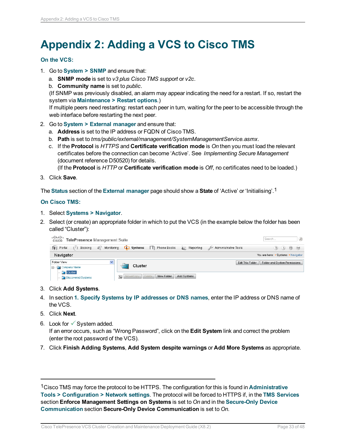## <span id="page-32-0"></span>**Appendix 2: Adding a VCS to Cisco TMS**

#### **On the VCS:**

- 1. Go to **System > SNMP** and ensure that:
	- a. **SNMP mode** is set to *v3 plus Cisco TMS support* or *v2c*.
	- b. **Community name** is set to *public*.

(If SNMP was previously disabled, an alarm may appear indicating the need for a restart. If so, restart the system via **Maintenance > Restart options**.)

If multiple peers need restarting: restart each peer in turn, waiting for the peer to be accessible through the web interface before restarting the next peer.

- 2. Go to **System > External manager** and ensure that:
	- a. **Address** is set to the IP address or FQDN of Cisco TMS.
	- b. **Path** is set to *tms/public/external/management/SystemManagementService.asmx*.
	- c. If the **Protocol** is *HTTPS* and **Certificate verification mode** is *On* then you must load the relevant certificates before the connection can become 'Active'. See *Implementing Secure Management* (document reference D50520) for details.

(If the **Protocol** is *HTTP* or **Certificate verification mode** is *Off*, no certificates need to be loaded.)

3. Click **Save**.

The **Status** section of the **External manager** page should show a **State** of 'Active' or 'Initialising'.1

#### **On Cisco TMS:**

- 1. Select **Systems > Navigator**.
- 2. Select (or create) an appropriate folder in which to put the VCS (in the example below the folder has been called "Cluster"):

| ahah<br>TelePresence Management Suite<br>CISCO                                 |                                                              | $\mathcal{Q}$<br>Search                                                   |
|--------------------------------------------------------------------------------|--------------------------------------------------------------|---------------------------------------------------------------------------|
| $\mathcal{L}$<br>$\left(1\right)$<br>Booking<br>Monitoring<br><b>It Portal</b> | $\Box$ Systems<br><b>T</b> Phone Books<br><b>E</b> Reporting | Administrative Tools<br>(2)(L)<br>$\qquad \qquad \qquad \Box$<br>$^{(0)}$ |
| Navigator                                                                      |                                                              | You are here: • Systems • Navigator                                       |
| Folder View<br>v<br>. ⊟. . <del>C</del> al Company Name                        | Cluster                                                      | Folder and System Permissions<br>Edit This Folder                         |
| $\Box$ Cluster<br>Discovered Systems                                           | 個<br>Move/Copy Delete<br>New Folder<br>Add Systems           |                                                                           |

- 3. Click **Add Systems**.
- 4. In section **1. Specify Systems by IP addresses or DNS names**, enter the IP address or DNS name of the VCS.
- 5. Click **Next**.
- 6. Look for  $\checkmark$  System added. If an error occurs, such as "Wrong Password", click on the **Edit System** link and correct the problem (enter the root password of the VCS).
- 7. Click **Finish Adding Systems**, **Add System despite warnings** or **Add More Systems** as appropriate.

1Cisco TMS may force the protocol to be HTTPS. The configuration for this is found in **Administrative Tools > Configuration > Network settings**. The protocol will be forced to HTTPS if, in the **TMS Services** section **Enforce Management Settings on Systems** is set to *On* and in the **Secure-Only Device Communication** section **Secure-Only Device Communication** is set to *On*.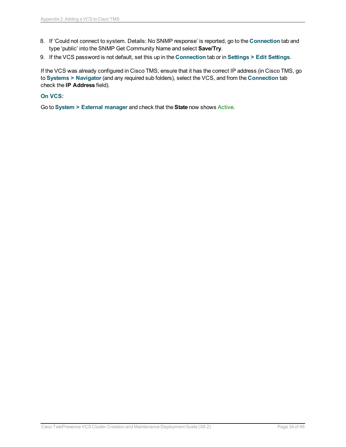- 8. If 'Could not connect to system. Details: No SNMP response' is reported, go to the **Connection** tab and type 'public' into the SNMP Get Community Name and select **Save/Try**.
- 9. If the VCS password is not default, set this up in the **Connection** tab or in **Settings > Edit Settings**.

If the VCS was already configured in Cisco TMS, ensure that it has the correct IP address (in Cisco TMS, go to **Systems > Navigator** (and any required sub folders), select the VCS, and from the **Connection** tab check the **IP Address** field).

#### **On VCS:**

Go to **System > External manager** and check that the **State** now shows Active.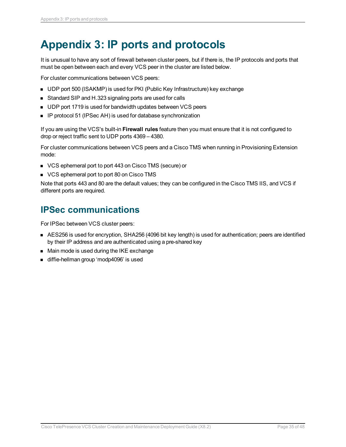## <span id="page-34-0"></span>**Appendix 3: IP ports and protocols**

It is unusual to have any sort of firewall between cluster peers, but if there is, the IP protocols and ports that must be open between each and every VCS peer in the cluster are listed below.

For cluster communications between VCS peers:

- UDP port 500 (ISAKMP) is used for PKI (Public Key Infrastructure) key exchange
- Standard SIP and H.323 signaling ports are used for calls
- UDP port 1719 is used for bandwidth updates between VCS peers
- IP protocol 51 (IPSec AH) is used for database synchronization

If you are using the VCS's built-in **Firewall rules** feature then you must ensure that it is not configured to drop or reject traffic sent to UDP ports 4369 – 4380.

For cluster communications between VCS peers and a Cisco TMS when running in Provisioning Extension mode:

- VCS ephemeral port to port 443 on Cisco TMS (secure) or
- **No. 7 VCS ephemeral port to port 80 on Cisco TMS**

Note that ports 443 and 80 are the default values; they can be configured in the Cisco TMS IIS, and VCS if different ports are required.

### <span id="page-34-1"></span>**IPSec communications**

For IPSec between VCS cluster peers:

- AES256 is used for encryption, SHA256 (4096 bit key length) is used for authentication; peers are identified by their IP address and are authenticated using a pre-shared key
- Main mode is used during the IKE exchange
- diffie-hellman group 'modp4096' is used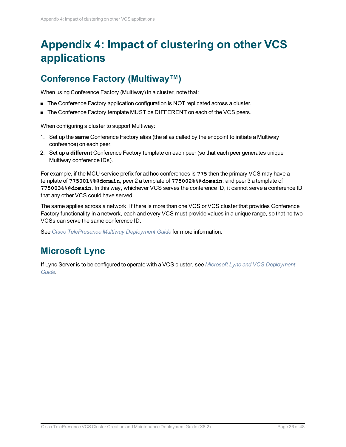## <span id="page-35-0"></span>**Appendix 4: Impact of clustering on other VCS applications**

## <span id="page-35-1"></span>**Conference Factory (Multiway™)**

When using Conference Factory (Multiway) in a cluster, note that:

- The Conference Factory application configuration is NOT replicated across a cluster.
- The Conference Factory template MUST be DIFFERENT on each of the VCS peers.

When configuring a cluster to support Multiway:

- 1. Set up the **same** Conference Factory alias (the alias called by the endpoint to initiate a Multiway conference) on each peer.
- 2. Set up a **different** Conference Factory template on each peer (so that each peer generates unique Multiway conference IDs).

For example, if the MCU service prefix for ad hoc conferences is **775** then the primary VCS may have a template of **775001%%@domain**, peer 2 a template of **775002%%@domain**, and peer 3 a template of **775003%%@domain**. In this way, whichever VCS serves the conference ID, it cannot serve a conference ID that any other VCS could have served.

The same applies across a network. If there is more than one VCS or VCS cluster that provides Conference Factory functionality in a network, each and every VCS must provide values in a unique range, so that no two VCSs can serve the same conference ID.

<span id="page-35-2"></span>See *Cisco [TelePresence](http://www.cisco.com/en/US/products/ps11337/products_installation_and_configuration_guides_list.html) Multiway Deployment Guide* for more information.

### **Microsoft Lync**

If Lync Server is to be configured to operate with a VCS cluster, see *Microsoft Lync and VCS [Deployment](http://www.cisco.com/en/US/products/ps11337/products_installation_and_configuration_guides_list.html) [Guide](http://www.cisco.com/en/US/products/ps11337/products_installation_and_configuration_guides_list.html)*.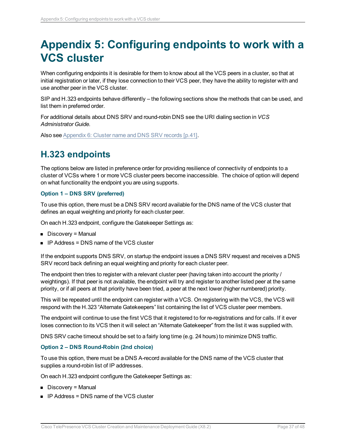## <span id="page-36-0"></span>**Appendix 5: Configuring endpoints to work with a VCS cluster**

When configuring endpoints it is desirable for them to know about all the VCS peers in a cluster, so that at initial registration or later, if they lose connection to their VCS peer, they have the ability to register with and use another peer in the VCS cluster.

SIP and H.323 endpoints behave differently – the following sections show the methods that can be used, and list them in preferred order.

For additional details about DNS SRV and round-robin DNS see the URI dialing section in *VCS Administrator Guide.*

<span id="page-36-1"></span>Also see [Appendix](#page-40-0) 6: Cluster name and DNS SRV records [p.41].

### **H.323 endpoints**

The options below are listed in preference order for providing resilience of connectivity of endpoints to a cluster of VCSs where 1 or more VCS cluster peers become inaccessible. The choice of option will depend on what functionality the endpoint you are using supports.

#### **Option 1 – DNS SRV (preferred)**

To use this option, there must be a DNS SRV record available for the DNS name of the VCS cluster that defines an equal weighting and priority for each cluster peer.

On each H.323 endpoint, configure the Gatekeeper Settings as:

- $\blacksquare$  Discovery = Manual
- $\blacksquare$  IP Address = DNS name of the VCS cluster

If the endpoint supports DNS SRV, on startup the endpoint issues a DNS SRV request and receives a DNS SRV record back defining an equal weighting and priority for each cluster peer.

The endpoint then tries to register with a relevant cluster peer (having taken into account the priority / weightings). If that peer is not available, the endpoint will try and register to another listed peer at the same priority, or if all peers at that priority have been tried, a peer at the next lower (higher numbered) priority.

This will be repeated until the endpoint can register with a VCS. On registering with the VCS, the VCS will respond with the H.323 "Alternate Gatekeepers" list containing the list of VCS cluster peer members.

The endpoint will continue to use the first VCS that it registered to for re-registrations and for calls. If it ever loses connection to its VCS then it will select an "Alternate Gatekeeper" from the list it was supplied with.

DNS SRV cache timeout should be set to a fairly long time (e.g. 24 hours) to minimize DNS traffic.

#### **Option 2 – DNS Round-Robin (2nd choice)**

To use this option, there must be a DNS A-record available for the DNS name of the VCS cluster that supplies a round-robin list of IP addresses.

On each H.323 endpoint configure the Gatekeeper Settings as:

- Discovery = Manual
- $\blacksquare$  IP Address = DNS name of the VCS cluster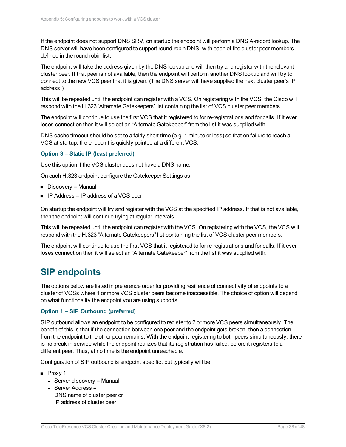If the endpoint does not support DNS SRV, on startup the endpoint will perform a DNS A-record lookup. The DNS server will have been configured to support round-robin DNS, with each of the cluster peer members defined in the round-robin list.

The endpoint will take the address given by the DNS lookup and will then try and register with the relevant cluster peer. If that peer is not available, then the endpoint will perform another DNS lookup and will try to connect to the new VCS peer that it is given. (The DNS server will have supplied the next cluster peer's IP address.)

This will be repeated until the endpoint can register with a VCS. On registering with the VCS, the Cisco will respond with the H.323 'Alternate Gatekeepers' list containing the list of VCS cluster peer members.

The endpoint will continue to use the first VCS that it registered to for re-registrations and for calls. If it ever loses connection then it will select an "Alternate Gatekeeper" from the list it was supplied with.

DNS cache timeout should be set to a fairly short time (e.g. 1 minute or less) so that on failure to reach a VCS at startup, the endpoint is quickly pointed at a different VCS.

#### **Option 3 – Static IP (least preferred)**

Use this option if the VCS cluster does not have a DNS name.

On each H.323 endpoint configure the Gatekeeper Settings as:

- Discovery = Manual
- **n** IP Address = IP address of a VCS peer

On startup the endpoint will try and register with the VCS at the specified IP address. If that is not available, then the endpoint will continue trying at regular intervals.

This will be repeated until the endpoint can register with the VCS. On registering with the VCS, the VCS will respond with the H.323 "Alternate Gatekeepers" list containing the list of VCS cluster peer members.

The endpoint will continue to use the first VCS that it registered to for re-registrations and for calls. If it ever loses connection then it will select an "Alternate Gatekeeper" from the list it was supplied with.

### <span id="page-37-0"></span>**SIP endpoints**

The options below are listed in preference order for providing resilience of connectivity of endpoints to a cluster of VCSs where 1 or more VCS cluster peers become inaccessible. The choice of option will depend on what functionality the endpoint you are using supports.

#### **Option 1 – SIP Outbound (preferred)**

SIP outbound allows an endpoint to be configured to register to 2 or more VCS peers simultaneously. The benefit of this is that if the connection between one peer and the endpoint gets broken, then a connection from the endpoint to the other peer remains. With the endpoint registering to both peers simultaneously, there is no break in service while the endpoint realizes that its registration has failed, before it registers to a different peer. Thus, at no time is the endpoint unreachable.

Configuration of SIP outbound is endpoint specific, but typically will be:

- **n** Proxy 1
	- $\bullet$  Server discovery = Manual
	- $\cdot$  Server Address = DNS name of cluster peer or IP address of cluster peer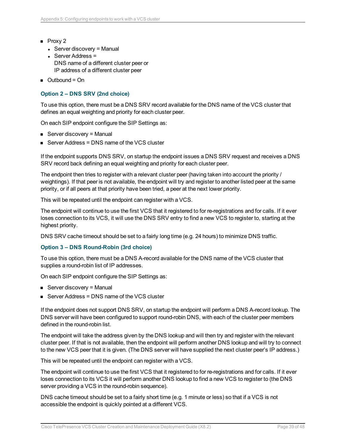- $\blacksquare$  Proxy 2
	- $\bullet$  Server discovery = Manual
	- $\cdot$  Server Address = DNS name of a different cluster peer or IP address of a different cluster peer
- $\Box$  Outbound = On

#### **Option 2 – DNS SRV (2nd choice)**

To use this option, there must be a DNS SRV record available for the DNS name of the VCS cluster that defines an equal weighting and priority for each cluster peer.

On each SIP endpoint configure the SIP Settings as:

- $\blacksquare$  Server discovery = Manual
- $\blacksquare$  Server Address = DNS name of the VCS cluster

If the endpoint supports DNS SRV, on startup the endpoint issues a DNS SRV request and receives a DNS SRV record back defining an equal weighting and priority for each cluster peer.

The endpoint then tries to register with a relevant cluster peer (having taken into account the priority / weightings). If that peer is not available, the endpoint will try and register to another listed peer at the same priority, or if all peers at that priority have been tried, a peer at the next lower priority.

This will be repeated until the endpoint can register with a VCS.

The endpoint will continue to use the first VCS that it registered to for re-registrations and for calls. If it ever loses connection to its VCS, it will use the DNS SRV entry to find a new VCS to register to, starting at the highest priority.

DNS SRV cache timeout should be set to a fairly long time (e.g. 24 hours) to minimize DNS traffic.

#### **Option 3 – DNS Round-Robin (3rd choice)**

To use this option, there must be a DNS A-record available for the DNS name of the VCS cluster that supplies a round-robin list of IP addresses.

On each SIP endpoint configure the SIP Settings as:

- $\blacksquare$  Server discovery = Manual
- $\blacksquare$  Server Address = DNS name of the VCS cluster

If the endpoint does not support DNS SRV, on startup the endpoint will perform a DNS A-record lookup. The DNS server will have been configured to support round-robin DNS, with each of the cluster peer members defined in the round-robin list.

The endpoint will take the address given by the DNS lookup and will then try and register with the relevant cluster peer. If that is not available, then the endpoint will perform another DNS lookup and will try to connect to the new VCS peer that it is given. (The DNS server will have supplied the next cluster peer's IP address.)

This will be repeated until the endpoint can register with a VCS.

The endpoint will continue to use the first VCS that it registered to for re-registrations and for calls. If it ever loses connection to its VCS it will perform another DNS lookup to find a new VCS to register to (the DNS server providing a VCS in the round-robin sequence).

DNS cache timeout should be set to a fairly short time (e.g. 1 minute or less) so that if a VCS is not accessible the endpoint is quickly pointed at a different VCS.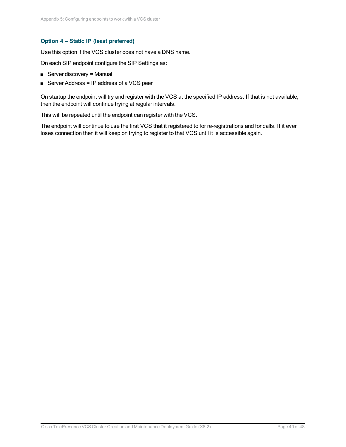#### **Option 4 – Static IP (least preferred)**

Use this option if the VCS cluster does not have a DNS name.

On each SIP endpoint configure the SIP Settings as:

- $\blacksquare$  Server discovery = Manual
- Server Address = IP address of a VCS peer

On startup the endpoint will try and register with the VCS at the specified IP address. If that is not available, then the endpoint will continue trying at regular intervals.

This will be repeated until the endpoint can register with the VCS.

The endpoint will continue to use the first VCS that it registered to for re-registrations and for calls. If it ever loses connection then it will keep on trying to register to that VCS until it is accessible again.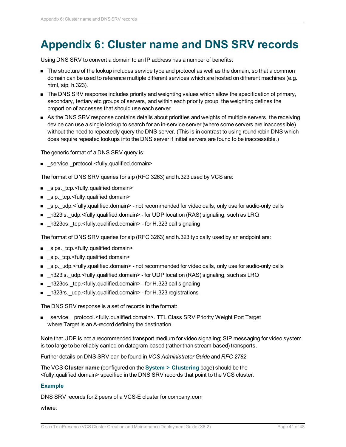## <span id="page-40-0"></span>**Appendix 6: Cluster name and DNS SRV records**

Using DNS SRV to convert a domain to an IP address has a number of benefits:

- n The structure of the lookup includes service type and protocol as well as the domain, so that a common domain can be used to reference multiple different services which are hosted on different machines (e.g. html, sip, h.323).
- n The DNS SRV response includes priority and weighting values which allow the specification of primary, secondary, tertiary etc groups of servers, and within each priority group, the weighting defines the proportion of accesses that should use each server.
- n As the DNS SRV response contains details about priorities and weights of multiple servers, the receiving device can use a single lookup to search for an in-service server (where some servers are inaccessible) without the need to repeatedly query the DNS server. (This is in contrast to using round robin DNS which does require repeated lookups into the DNS server if initial servers are found to be inaccessible.)

The generic format of a DNS SRV query is:

■ \_service.\_protocol.<fully.qualified.domain>

The format of DNS SRV queries for sip (RFC 3263) and h.323 used by VCS are:

- sips.\_tcp.<fully.qualified.domain>
- sip.\_tcp.<fully.qualified.domain>
- n sip. udp.<fully.qualified.domain> not recommended for video calls, only use for audio-only calls
- **n**  $h323$ ls. udp.<fully.qualified.domain> for UDP location (RAS) signaling, such as LRQ
- h323cs.\_tcp.<fully.qualified.domain> for H.323 call signaling

The format of DNS SRV queries for sip (RFC 3263) and h.323 typically used by an endpoint are:

- sips.\_tcp.<fully.qualified.domain>
- sip.\_tcp.<fully.qualified.domain>
- sip.\_udp.<fully.qualified.domain> not recommended for video calls, only use for audio-only calls
- h323ls. udp.<fully.qualified.domain> for UDP location (RAS) signaling, such as LRQ
- h323cs.\_tcp.<fully.qualified.domain> for H.323 call signaling
- h323rs.\_udp.<fully.qualified.domain> for H.323 registrations

The DNS SRV response is a set of records in the format:

■ service. protocol.<fully.qualified.domain>. TTL Class SRV Priority Weight Port Target where Target is an A-record defining the destination.

Note that UDP is not a recommended transport medium for video signaling; SIP messaging for video system is too large to be reliably carried on datagram-based (rather than stream-based) transports.

Further details on DNS SRV can be found in *VCS Administrator Guide* and *RFC 2782*.

The VCS **Cluster name** (configured on the **System > Clustering** page) should be the <fully.qualified.domain> specified in the DNS SRV records that point to the VCS cluster.

#### **Example**

DNS SRV records for 2 peers of a VCS-E cluster for company.com

where: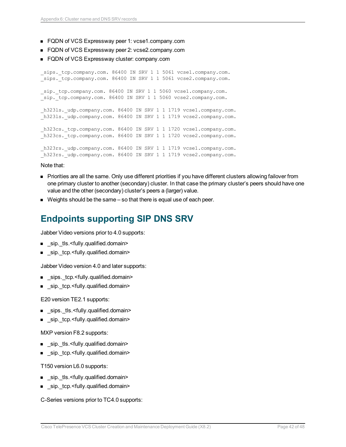- FQDN of VCS Expressway peer 1: vcse1.company.com
- FQDN of VCS Expressway peer 2: vcse2.company.com
- FQDN of VCS Expressway cluster: company.com

sips. tcp.company.com. 86400 IN SRV 1 1 5061 vcse1.company.com. sips. tcp.company.com. 86400 IN SRV 1 1 5061 vcse2.company.com. sip. tcp.company.com. 86400 IN SRV 1 1 5060 vcse1.company.com. sip. tcp.company.com. 86400 IN SRV 1 1 5060 vcse2.company.com. h323ls. udp.company.com. 86400 IN SRV 1 1 1719 vcse1.company.com. h323ls. udp.company.com. 86400 IN SRV 1 1 1719 vcse2.company.com. h323cs. tcp.company.com. 86400 IN SRV 1 1 1720 vcse1.company.com. h323cs. tcp.company.com. 86400 IN SRV 1 1 1720 vcse2.company.com. h323rs. udp.company.com. 86400 IN SRV 1 1 1719 vcse1.company.com. h323rs. udp.company.com. 86400 IN SRV 1 1 1719 vcse2.company.com.

#### Note that:

- n Priorities are all the same. Only use different priorities if you have different clusters allowing failover from one primary cluster to another (secondary) cluster. In that case the primary cluster's peers should have one value and the other (secondary) cluster's peers a (larger) value.
- <span id="page-41-0"></span> $\blacksquare$  Weights should be the same  $-$  so that there is equal use of each peer.

### **Endpoints supporting SIP DNS SRV**

Jabber Video versions prior to 4.0 supports:

- sip. tls.<fully.qualified.domain>
- \_sip.\_tcp.<fully.qualified.domain>

Jabber Video version 4.0 and later supports:

- sips. tcp.<fully.qualified.domain>
- sip.\_tcp.<fully.qualified.domain>

E20 version TE2.1 supports:

- \_sips.\_tls.<fully.qualified.domain>
- \_sip.\_tcp.<fully.qualified.domain>

MXP version F8.2 supports:

- sip. tls.<fully.qualified.domain>
- sip.\_tcp.<fully.qualified.domain>

T150 version L6.0 supports:

- sip.\_tls.<fully.qualified.domain>
- sip.\_tcp.<fully.qualified.domain>

C-Series versions prior to TC4.0 supports: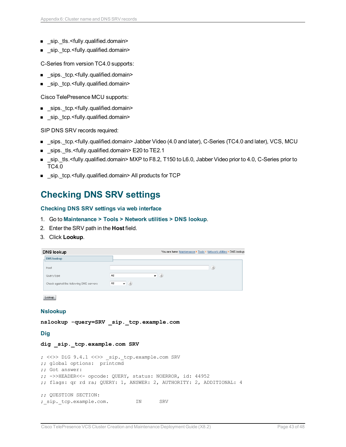- sip. tls.<fully.qualified.domain>
- sip. tcp.<fully.qualified.domain>

C-Series from version TC4.0 supports:

- \_sips.\_tcp.<fully.qualified.domain>
- \_sip.\_tcp.<fully.qualified.domain>

Cisco TelePresence MCU supports:

- \_sips.\_tcp.<fully.qualified.domain>
- sip.\_tcp.<fully.qualified.domain>

SIP DNS SRV records required:

- sips.\_tcp.<fully.qualified.domain> Jabber Video (4.0 and later), C-Series (TC4.0 and later), VCS, MCU
- sips. tls.<fully.qualified.domain> E20 to TE2.1
- sip.\_tls.<fully.qualified.domain> MXP to F8.2, T150 to L6.0, Jabber Video prior to 4.0, C-Series prior to TC4.0
- <span id="page-42-0"></span><sup>n</sup> \_sip.\_tcp.<fully.qualified.domain> All products for TCP

### **Checking DNS SRV settings**

#### **Checking DNS SRV settings via web interface**

- 1. Go to **Maintenance > Tools > Network utilities > DNS lookup**.
- 2. Enter the SRV path in the **Host** field.
- 3. Click **Lookup**.

| DNS lookup                              | You are here: Maintenance ▶ Tools ▶ Network utilities ▶ DNS lookup |  |
|-----------------------------------------|--------------------------------------------------------------------|--|
| <b>DNS lookup</b>                       |                                                                    |  |
| Host                                    | $\hat{i}$                                                          |  |
| Query type                              | $\bullet$ (i)<br>All                                               |  |
| Check against the following DNS servers | $ (i)$<br>All                                                      |  |

Lookup

#### **Nslookup**

**nslookup -query=SRV \_sip.\_tcp.example.com**

**Dig**

#### **dig \_sip.\_tcp.example.com SRV**

```
; <<>> DiG 9.4.1 <<>> _sip._tcp.example.com SRV
;; global options: printcmd
;; Got answer:
;; ->>HEADER<<- opcode: QUERY, status: NOERROR, id: 44952
;; flags: qr rd ra; QUERY: 1, ANSWER: 2, AUTHORITY: 2, ADDITIONAL: 4
;; QUESTION SECTION:
;_sip._tcp.example.com. IN SRV
```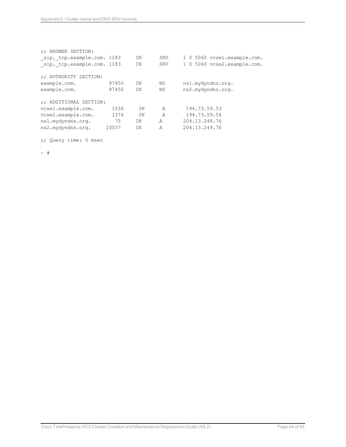| :: ANSWER SECTION:<br>sip. tcp.example.com. 1183<br>sip. tcp.example.com. 1183 |       | ΤN<br>ΤN  | SRV<br><b>SRV</b> | 1 0 5060 vcsel.example.com.<br>1 0 5060 vcse2.example.com. |
|--------------------------------------------------------------------------------|-------|-----------|-------------------|------------------------------------------------------------|
| :; AUTHORITY SECTION:                                                          |       |           |                   |                                                            |
| example.com.                                                                   | 87450 | ΤN        | ΝS                | ns1.mydyndns.org.                                          |
| example.com.                                                                   | 87450 | <b>TN</b> | <b>NS</b>         | ns2.mydyndns.org.                                          |
| :: ADDITIONAL SECTION:                                                         |       |           |                   |                                                            |
| vcsel.example.com.                                                             | 1536  | ΤN        | A                 | 194.73.59.53                                               |
| vcse2.example.com.                                                             | 1376  | <b>TN</b> | $\overline{A}$    | 194.73.59.54                                               |
| ns1.mydyndns.org.                                                              | 75    | ΤN        | A                 | 204.13.248.76                                              |
| ns2.mydyndns.org.                                                              | 10037 | ΤN        | A                 | 204.13.249.76                                              |

;; Query time: 0 msec

 $~\sim~$  #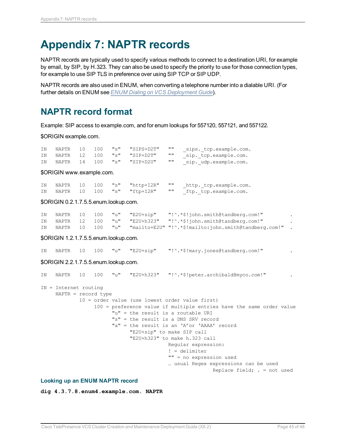## <span id="page-44-0"></span>**Appendix 7: NAPTR records**

NAPTR records are typically used to specify various methods to connect to a destination URI, for example by email, by SIP, by H.323. They can also be used to specify the priority to use for those connection types, for example to use SIP TLS in preference over using SIP TCP or SIP UDP.

NAPTR records are also used in ENUM, when converting a telephone number into a dialable URI. (For further details on ENUM see *ENUM Dialing on VCS [Deployment](http://www.cisco.com/en/US/products/ps11337/products_installation_and_configuration_guides_list.html) Guide*).

### <span id="page-44-1"></span>**NAPTR record format**

Example: SIP access to example.com, and for enum lookups for 557120, 557121, and 557122.

\$ORIGIN example.com.

| ΤN | NAPTR | 10 100 | "s" "SIPS+D2T"       | 11 II     | sips. tcp.example.com. |
|----|-------|--------|----------------------|-----------|------------------------|
| TN | NAPTR |        | 12 100 "s" "SIP+D2T" | - 11 11   | sip. tcp.example.com.  |
| ΤN | NAPTR |        | 14 100 "s" "SIP+D2U" | <b>HH</b> | sip. udp.example.com.  |

\$ORIGIN www.example.com.

|  |  | IN NAPTR 10 100 "s" "http+I2R" | $\mathbf{H}$ | http. tcp.example.com. |
|--|--|--------------------------------|--------------|------------------------|
|  |  | IN NAPTR 10 100 "s" "ftp+I2R"  | $\cdots$     | ftp. tcp.example.com.  |

#### \$ORIGIN 0.2.1.7.5.5.enum.lookup.com.

|  |  |  | IN NAPTR 10 100 "u" "E2U+sip" "!^.*\$!john.smith@tandberg.com!"             |  |
|--|--|--|-----------------------------------------------------------------------------|--|
|  |  |  | IN NAPTR 12 100 "u" "E2U+h323" "!^.*\$!john.smith@tandberg.com!"            |  |
|  |  |  | IN NAPTR 10 100 "u" "mailto+E2U" "!^.*\$!mailto:john.smith@tandberg.com!" . |  |

\$ORIGIN 1.2.1.7.5.5.enum.lookup.com.

IN NAPTR 10 100 "u" "E2U+sip" "!^.\*\$!mary.jones@tandberg.com!" .

#### \$ORIGIN 2.2.1.7.5.5.enum.lookup.com.

| IN |                                                  |  |  | NAPTR 10 100 "u" "E2U+h323" "!^.*\$!peter.archibald@myco.com!"                                                                                                                                                                                                      |
|----|--------------------------------------------------|--|--|---------------------------------------------------------------------------------------------------------------------------------------------------------------------------------------------------------------------------------------------------------------------|
|    | $IN = Internet routine$<br>$NAPTR = record type$ |  |  |                                                                                                                                                                                                                                                                     |
|    |                                                  |  |  | 10 = order value (use lowest order value first)                                                                                                                                                                                                                     |
|    |                                                  |  |  | 100 = preference value if multiple entries have the same order value<br>" $u'' =$ the result is a routable URI<br>"s" = the result is a DNS SRV record<br>"a" = the result is an 'A'or 'AAAA' record<br>"E2U+sip" to make SIP call<br>"E2U+h323" to make h.323 call |
|    |                                                  |  |  | Reqular expression:                                                                                                                                                                                                                                                 |
|    |                                                  |  |  | $! =$ delimiter                                                                                                                                                                                                                                                     |
|    |                                                  |  |  | "" = no expression used                                                                                                                                                                                                                                             |
|    |                                                  |  |  | usual Regex expressions can be used                                                                                                                                                                                                                                 |
|    |                                                  |  |  | Replace field; $=$ not used                                                                                                                                                                                                                                         |

#### **Looking up an ENUM NAPTR record**

**dig 4.3.7.8.enum4.example.com. NAPTR**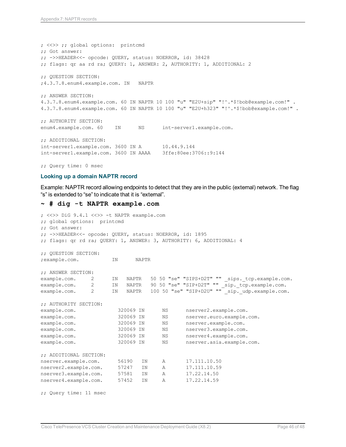; <<>> ;; global options: printcmd ;; Got answer: ;; ->>HEADER<<- opcode: QUERY, status: NOERROR, id: 38428 ;; flags: qr aa rd ra; QUERY: 1, ANSWER: 2, AUTHORITY: 1, ADDITIONAL: 2 ;; QUESTION SECTION: ;4.3.7.8.enum4.example.com. IN NAPTR ;; ANSWER SECTION: 4.3.7.8.enum4.example.com. 60 IN NAPTR 10 100 "u" "E2U+sip" "!^.\*\$!bob@example.com!" . 4.3.7.8.enum4.example.com. 60 IN NAPTR 10 100 "u" "E2U+h323" "!^.\*\$!bob@example.com!" . ;; AUTHORITY SECTION: enum4.example.com. 60 IN NS int-server1.example.com. ;; ADDITIONAL SECTION: int-server1.example.com. 3600 IN A 10.44.9.144 int-server1.example.com. 3600 IN AAAA 3ffe:80ee:3706::9:144

;; Query time: 0 msec

#### **Looking up a domain NAPTR record**

Example: NAPTR record allowing endpoints to detect that they are in the public (external) network. The flag "s" is extended to "se" to indicate that it is "external".

#### **~ # dig -t NAPTR example.com**

```
; <<>> DiG 9.4.1 <<>> -t NAPTR example.com
;; global options: printcmd
;; Got answer:
;; ->>HEADER<<- opcode: QUERY, status: NOERROR, id: 1895
;; flags: qr rd ra; QUERY: 1, ANSWER: 3, AUTHORITY: 6, ADDITIONAL: 4
;; QUESTION SECTION:
;example.com. IN NAPTR
;; ANSWER SECTION:
example.com. 2 IN NAPTR 50 50 "se" "SIPS+D2T" "" _sips. tcp.example.com.
example.com. 2 IN NAPTR 90 50 "se" "SIP+D2T" "" _sip._tcp.example.com.
example.com. 2 IN NAPTR 100 50 "se" "SIP+D2U" "" sip. udp.example.com.
;; AUTHORITY SECTION:
example.com. 320069 IN NS nserver2.example.com.<br>example.com. 320069 IN NS nserver.euro.example.
example.com. 320069 IN NS nserver.euro.example.com.
example.com. 320069 IN NS nserver.example.com.
example.com. 320069 IN NS nserver3.example.com.
example.com. 320069 IN NS nserver4.example.com.
example.com. 320069 IN NS nserver.asia.example.com.
;; ADDITIONAL SECTION:
nserver.example.com. 56190 IN A 17.111.10.50
nserver2.example.com. 57247 IN A 17.111.10.59
nserver3.example.com. 57581 IN A 17.22.14.50
nserver4.example.com. 57452 IN A 17.22.14.59
;; Query time: 11 msec
```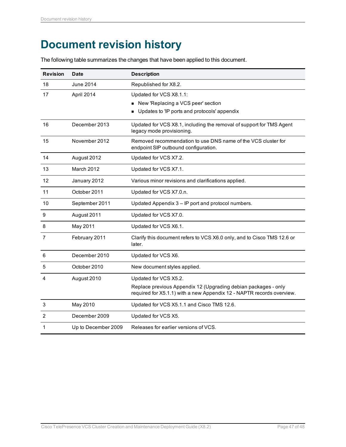## <span id="page-46-0"></span>**Document revision history**

The following table summarizes the changes that have been applied to this document.

| <b>Revision</b> | Date                | <b>Description</b>                                                                                                                                               |
|-----------------|---------------------|------------------------------------------------------------------------------------------------------------------------------------------------------------------|
| 18              | June 2014           | Republished for X8.2.                                                                                                                                            |
| 17              | April 2014          | Updated for VCS X8.1.1:<br>New 'Replacing a VCS peer' section<br>Updates to 'IP ports and protocols' appendix                                                    |
| 16              | December 2013       | Updated for VCS X8.1, including the removal of support for TMS Agent<br>legacy mode provisioning.                                                                |
| 15              | November 2012       | Removed recommendation to use DNS name of the VCS cluster for<br>endpoint SIP outbound configuration.                                                            |
| 14              | August 2012         | Updated for VCS X7.2.                                                                                                                                            |
| 13              | March 2012          | Updated for VCS X7.1.                                                                                                                                            |
| 12              | January 2012        | Various minor revisions and clarifications applied.                                                                                                              |
| 11              | October 2011        | Updated for VCS X7.0.n.                                                                                                                                          |
| 10              | September 2011      | Updated Appendix 3 - IP port and protocol numbers.                                                                                                               |
| 9               | August 2011         | Updated for VCS X7.0.                                                                                                                                            |
| 8               | May 2011            | Updated for VCS X6.1.                                                                                                                                            |
| 7               | February 2011       | Clarify this document refers to VCS X6.0 only, and to Cisco TMS 12.6 or<br>later.                                                                                |
| 6               | December 2010       | Updated for VCS X6.                                                                                                                                              |
| 5               | October 2010        | New document styles applied.                                                                                                                                     |
| 4               | August 2010         | Updated for VCS X5.2.<br>Replace previous Appendix 12 (Upgrading debian packages - only<br>required for X5.1.1) with a new Appendix 12 - NAPTR records overview. |
| 3               | May 2010            | Updated for VCS X5.1.1 and Cisco TMS 12.6.                                                                                                                       |
| 2               | December 2009       | Updated for VCS X5.                                                                                                                                              |
| 1               | Up to December 2009 | Releases for earlier versions of VCS.                                                                                                                            |